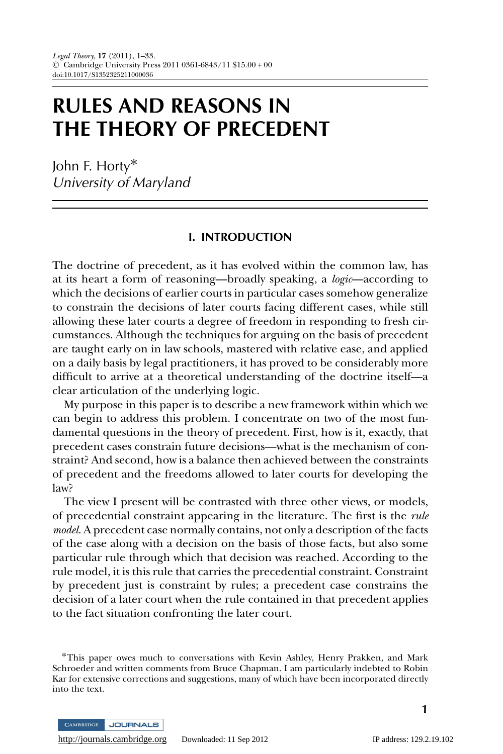# **RULES AND REASONS IN THE THEORY OF PRECEDENT**

John F. Horty<sup>∗</sup> University of Maryland

# **I. INTRODUCTION**

The doctrine of precedent, as it has evolved within the common law, has at its heart a form of reasoning—broadly speaking, a *logic*—according to which the decisions of earlier courts in particular cases somehow generalize to constrain the decisions of later courts facing different cases, while still allowing these later courts a degree of freedom in responding to fresh circumstances. Although the techniques for arguing on the basis of precedent are taught early on in law schools, mastered with relative ease, and applied on a daily basis by legal practitioners, it has proved to be considerably more difficult to arrive at a theoretical understanding of the doctrine itself—a clear articulation of the underlying logic.

My purpose in this paper is to describe a new framework within which we can begin to address this problem. I concentrate on two of the most fundamental questions in the theory of precedent. First, how is it, exactly, that precedent cases constrain future decisions—what is the mechanism of constraint? And second, how is a balance then achieved between the constraints of precedent and the freedoms allowed to later courts for developing the law?

The view I present will be contrasted with three other views, or models, of precedential constraint appearing in the literature. The first is the *rule model*. A precedent case normally contains, not only a description of the facts of the case along with a decision on the basis of those facts, but also some particular rule through which that decision was reached. According to the rule model, it is this rule that carries the precedential constraint. Constraint by precedent just is constraint by rules; a precedent case constrains the decision of a later court when the rule contained in that precedent applies to the fact situation confronting the later court.

<sup>∗</sup>This paper owes much to conversations with Kevin Ashley, Henry Prakken, and Mark Schroeder and written comments from Bruce Chapman. I am particularly indebted to Robin Kar for extensive corrections and suggestions, many of which have been incorporated directly into the text.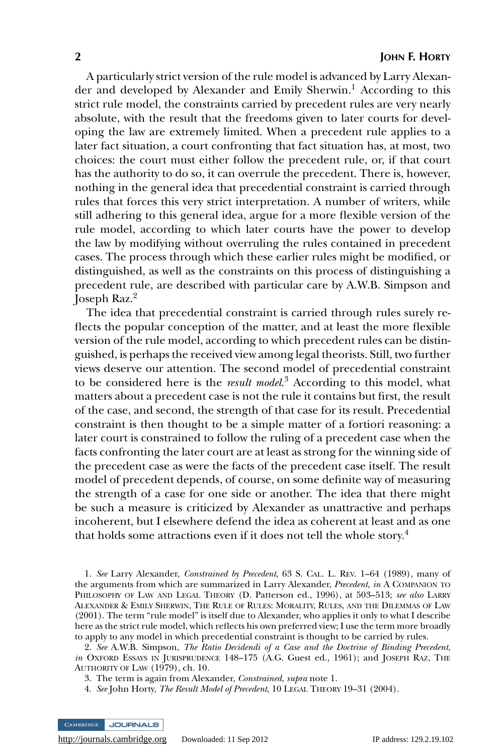A particularly strict version of the rule model is advanced by Larry Alexander and developed by Alexander and Emily Sherwin.<sup>1</sup> According to this strict rule model, the constraints carried by precedent rules are very nearly absolute, with the result that the freedoms given to later courts for developing the law are extremely limited. When a precedent rule applies to a later fact situation, a court confronting that fact situation has, at most, two choices: the court must either follow the precedent rule, or, if that court has the authority to do so, it can overrule the precedent. There is, however, nothing in the general idea that precedential constraint is carried through rules that forces this very strict interpretation. A number of writers, while still adhering to this general idea, argue for a more flexible version of the rule model, according to which later courts have the power to develop the law by modifying without overruling the rules contained in precedent cases. The process through which these earlier rules might be modified, or distinguished, as well as the constraints on this process of distinguishing a precedent rule, are described with particular care by A.W.B. Simpson and Joseph Raz.2

The idea that precedential constraint is carried through rules surely reflects the popular conception of the matter, and at least the more flexible version of the rule model, according to which precedent rules can be distinguished, is perhaps the received view among legal theorists. Still, two further views deserve our attention. The second model of precedential constraint to be considered here is the *result model*. <sup>3</sup> According to this model, what matters about a precedent case is not the rule it contains but first, the result of the case, and second, the strength of that case for its result. Precedential constraint is then thought to be a simple matter of a fortiori reasoning: a later court is constrained to follow the ruling of a precedent case when the facts confronting the later court are at least as strong for the winning side of the precedent case as were the facts of the precedent case itself. The result model of precedent depends, of course, on some definite way of measuring the strength of a case for one side or another. The idea that there might be such a measure is criticized by Alexander as unattractive and perhaps incoherent, but I elsewhere defend the idea as coherent at least and as one that holds some attractions even if it does not tell the whole story.4

1. *See* Larry Alexander, *Constrained by Precedent*, 63 S. CAL. L. REV. 1–64 (1989), many of the arguments from which are summarized in Larry Alexander, *Precedent*, *in* A COMPANION TO PHILOSOPHY OF LAW AND LEGAL THEORY (D. Patterson ed., 1996), at 503–513; *see also* LARRY ALEXANDER & EMILY SHERWIN, THE RULE OF RULES: MORALITY, RULES, AND THE DILEMMAS OF LAW (2001). The term "rule model" is itself due to Alexander, who applies it only to what I describe here as the strict rule model, which reflects his own preferred view; I use the term more broadly to apply to any model in which precedential constraint is thought to be carried by rules.

2. *See* A.W.B. Simpson, *The Ratio Decidendi of a Case and the Doctrine of Binding Precedent*, *in* OXFORD ESSAYS IN JURISPRUDENCE 148-175 (A.G. Guest ed., 1961); and JOSEPH RAZ, THE AUTHORITY OF LAW (1979), ch. 10.

3. The term is again from Alexander, *Constrained*, *supra* note 1.

4. *See* John Horty, *The Result Model of Precedent*, 10 LEGAL THEORY 19–31 (2004).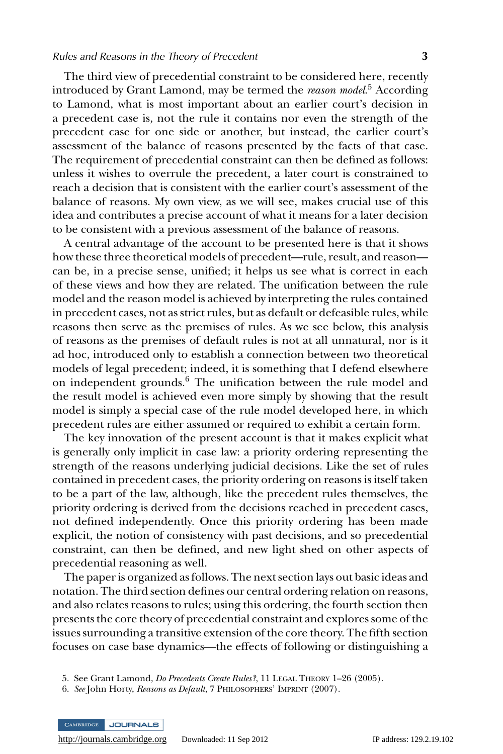### Rules and Reasons in the Theory of Precedent **3**

The third view of precedential constraint to be considered here, recently introduced by Grant Lamond, may be termed the *reason model*. <sup>5</sup> According to Lamond, what is most important about an earlier court's decision in a precedent case is, not the rule it contains nor even the strength of the precedent case for one side or another, but instead, the earlier court's assessment of the balance of reasons presented by the facts of that case. The requirement of precedential constraint can then be defined as follows: unless it wishes to overrule the precedent, a later court is constrained to reach a decision that is consistent with the earlier court's assessment of the balance of reasons. My own view, as we will see, makes crucial use of this idea and contributes a precise account of what it means for a later decision to be consistent with a previous assessment of the balance of reasons.

A central advantage of the account to be presented here is that it shows how these three theoretical models of precedent—rule, result, and reason can be, in a precise sense, unified; it helps us see what is correct in each of these views and how they are related. The unification between the rule model and the reason model is achieved by interpreting the rules contained in precedent cases, not as strict rules, but as default or defeasible rules, while reasons then serve as the premises of rules. As we see below, this analysis of reasons as the premises of default rules is not at all unnatural, nor is it ad hoc, introduced only to establish a connection between two theoretical models of legal precedent; indeed, it is something that I defend elsewhere on independent grounds.<sup>6</sup> The unification between the rule model and the result model is achieved even more simply by showing that the result model is simply a special case of the rule model developed here, in which precedent rules are either assumed or required to exhibit a certain form.

The key innovation of the present account is that it makes explicit what is generally only implicit in case law: a priority ordering representing the strength of the reasons underlying judicial decisions. Like the set of rules contained in precedent cases, the priority ordering on reasons is itself taken to be a part of the law, although, like the precedent rules themselves, the priority ordering is derived from the decisions reached in precedent cases, not defined independently. Once this priority ordering has been made explicit, the notion of consistency with past decisions, and so precedential constraint, can then be defined, and new light shed on other aspects of precedential reasoning as well.

The paper is organized as follows. The next section lays out basic ideas and notation. The third section defines our central ordering relation on reasons, and also relates reasons to rules; using this ordering, the fourth section then presents the core theory of precedential constraint and explores some of the issues surrounding a transitive extension of the core theory. The fifth section focuses on case base dynamics—the effects of following or distinguishing a

5. See Grant Lamond, *Do Precedents Create Rules?*, 11 LEGAL THEORY 1–26 (2005).

<sup>6.</sup> *See* John Horty, *Reasons as Default*,7PHILOSOPHERS' IMPRINT (2007).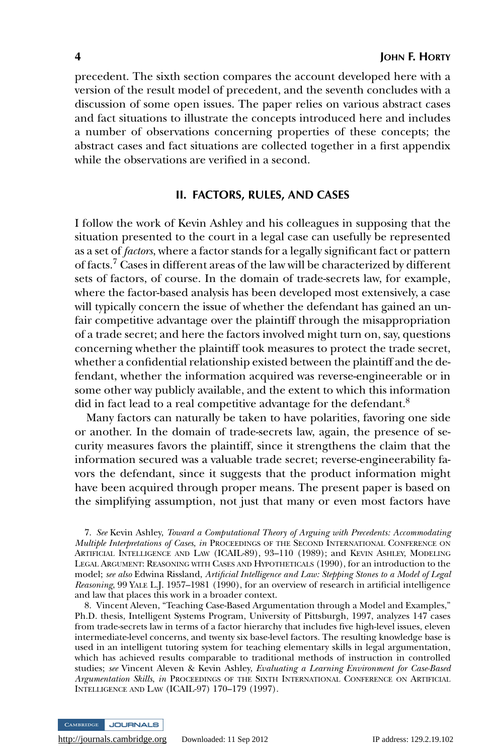precedent. The sixth section compares the account developed here with a version of the result model of precedent, and the seventh concludes with a discussion of some open issues. The paper relies on various abstract cases and fact situations to illustrate the concepts introduced here and includes a number of observations concerning properties of these concepts; the abstract cases and fact situations are collected together in a first appendix while the observations are verified in a second.

# **II. FACTORS, RULES, AND CASES**

I follow the work of Kevin Ashley and his colleagues in supposing that the situation presented to the court in a legal case can usefully be represented as a set of *factors*, where a factor stands for a legally significant fact or pattern of facts.7 Cases in different areas of the law will be characterized by different sets of factors, of course. In the domain of trade-secrets law, for example, where the factor-based analysis has been developed most extensively, a case will typically concern the issue of whether the defendant has gained an unfair competitive advantage over the plaintiff through the misappropriation of a trade secret; and here the factors involved might turn on, say, questions concerning whether the plaintiff took measures to protect the trade secret, whether a confidential relationship existed between the plaintiff and the defendant, whether the information acquired was reverse-engineerable or in some other way publicly available, and the extent to which this information did in fact lead to a real competitive advantage for the defendant.<sup>8</sup>

Many factors can naturally be taken to have polarities, favoring one side or another. In the domain of trade-secrets law, again, the presence of security measures favors the plaintiff, since it strengthens the claim that the information secured was a valuable trade secret; reverse-engineerability favors the defendant, since it suggests that the product information might have been acquired through proper means. The present paper is based on the simplifying assumption, not just that many or even most factors have

7. *See* Kevin Ashley, *Toward a Computational Theory of Arguing with Precedents: Accommodating Multiple Interpretations of Cases*, *in* PROCEEDINGS OF THE SECOND INTERNATIONAL CONFERENCE ON ARTIFICIAL INTELLIGENCE AND LAW (ICAIL-89), 93–110 (1989); and KEVIN ASHLEY, MODELING LEGAL ARGUMENT: REASONING WITH CASES AND HYPOTHETICALS (1990), for an introduction to the model; *see also* Edwina Rissland, *Artificial Intelligence and Law: Stepping Stones to a Model of Legal Reasoning*, 99 YALE L.J. 1957–1981 (1990), for an overview of research in artificial intelligence and law that places this work in a broader context.

8. Vincent Aleven, "Teaching Case-Based Argumentation through a Model and Examples," Ph.D. thesis, Intelligent Systems Program, University of Pittsburgh, 1997, analyzes 147 cases from trade-secrets law in terms of a factor hierarchy that includes five high-level issues, eleven intermediate-level concerns, and twenty six base-level factors. The resulting knowledge base is used in an intelligent tutoring system for teaching elementary skills in legal argumentation, which has achieved results comparable to traditional methods of instruction in controlled studies; *see* Vincent Aleven & Kevin Ashley, *Evaluating a Learning Environment for Case-Based Argumentation Skills*, *in* PROCEEDINGS OF THE SIXTH INTERNATIONAL CONFERENCE ON ARTIFICIAL INTELLIGENCE AND LAW (ICAIL-97) 170–179 (1997).

CAMBRIDGE JOURNALS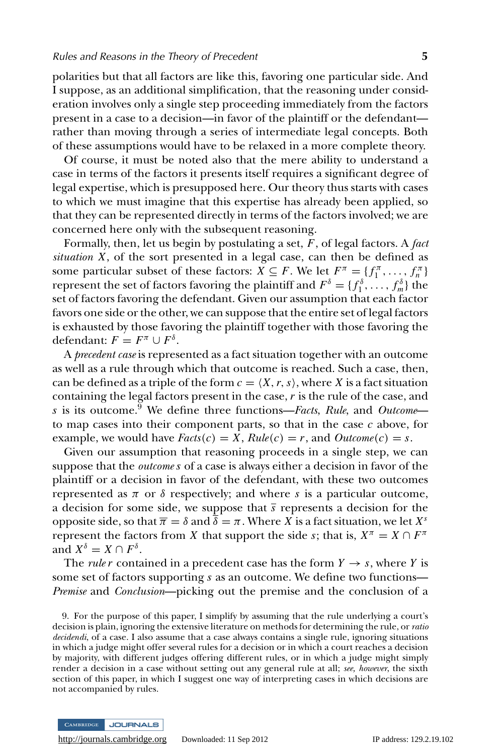polarities but that all factors are like this, favoring one particular side. And I suppose, as an additional simplification, that the reasoning under consideration involves only a single step proceeding immediately from the factors present in a case to a decision—in favor of the plaintiff or the defendant rather than moving through a series of intermediate legal concepts. Both of these assumptions would have to be relaxed in a more complete theory.

Of course, it must be noted also that the mere ability to understand a case in terms of the factors it presents itself requires a significant degree of legal expertise, which is presupposed here. Our theory thus starts with cases to which we must imagine that this expertise has already been applied, so that they can be represented directly in terms of the factors involved; we are concerned here only with the subsequent reasoning.

Formally, then, let us begin by postulating a set, *F*, of legal factors. A *fact situation X*, of the sort presented in a legal case, can then be defined as some particular subset of these factors:  $X \subseteq F$ . We let  $F^{\pi} = \{f_1^{\pi}, \ldots, f_n^{\pi}\}\$ represent the set of factors favoring the plaintiff and  $F^{\delta} = \{f_1^{\delta}, \ldots, f_m^{\delta}\}\)$  the set of factors favoring the defendant. Given our assumption that each factor favors one side or the other, we can suppose that the entire set of legal factors is exhausted by those favoring the plaintiff together with those favoring the defendant:  $F = F^{\pi} \cup F^{\delta}$ .

A *precedent case* is represented as a fact situation together with an outcome as well as a rule through which that outcome is reached. Such a case, then, can be defined as a triple of the form  $c = \langle X, r, s \rangle$ , where X is a fact situation containing the legal factors present in the case, *r* is the rule of the case, and *s* is its outcome.<sup>9</sup> We define three functions—*Facts*, *Rule*, and *Outcome* to map cases into their component parts, so that in the case *c* above, for example, we would have  $Facts(c) = X$ ,  $Rule(c) = r$ , and  $Outcome(c) = s$ .

Given our assumption that reasoning proceeds in a single step, we can suppose that the *outcome s* of a case is always either a decision in favor of the plaintiff or a decision in favor of the defendant, with these two outcomes represented as  $\pi$  or  $\delta$  respectively; and where *s* is a particular outcome, a decision for some side, we suppose that  $\bar{s}$  represents a decision for the opposite side, so that  $\bar{\pi} = \delta$  and  $\bar{\delta} = \pi$ . Where *X* is a fact situation, we let *X<sup>s</sup>* represent the factors from *X* that support the side *s*; that is,  $X^{\pi} = X \cap F^{\pi}$ and  $X^{\delta} = X \cap F^{\delta}$ .

The *rule r* contained in a precedent case has the form  $Y \rightarrow s$ , where *Y* is some set of factors supporting *s* as an outcome. We define two functions— *Premise* and *Conclusion*—picking out the premise and the conclusion of a

<sup>9.</sup> For the purpose of this paper, I simplify by assuming that the rule underlying a court's decision is plain, ignoring the extensive literature on methods for determining the rule, or *ratio decidendi*, of a case. I also assume that a case always contains a single rule, ignoring situations in which a judge might offer several rules for a decision or in which a court reaches a decision by majority, with different judges offering different rules, or in which a judge might simply render a decision in a case without setting out any general rule at all; *see, however*, the sixth section of this paper, in which I suggest one way of interpreting cases in which decisions are not accompanied by rules.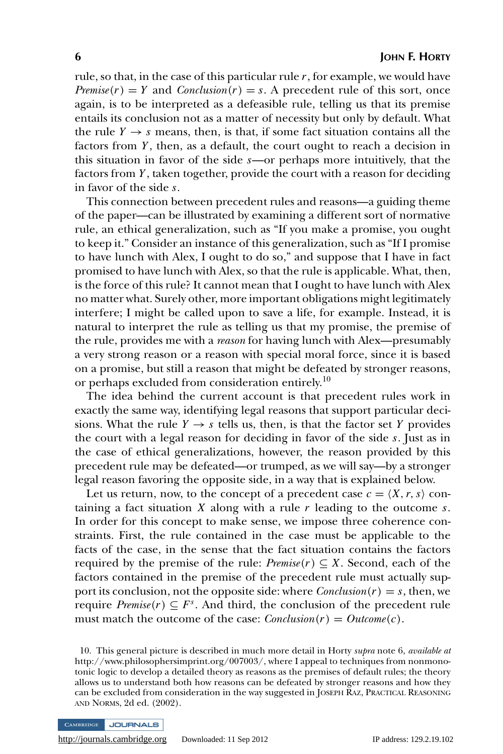rule, so that, in the case of this particular rule *r*, for example, we would have *Premise*( $r$ ) = *Y* and *Conclusion*( $r$ ) = *s*. A precedent rule of this sort, once again, is to be interpreted as a defeasible rule, telling us that its premise entails its conclusion not as a matter of necessity but only by default. What the rule  $Y \rightarrow s$  means, then, is that, if some fact situation contains all the factors from *Y* , then, as a default, the court ought to reach a decision in this situation in favor of the side *s*—or perhaps more intuitively, that the factors from *Y* , taken together, provide the court with a reason for deciding in favor of the side *s*.

This connection between precedent rules and reasons—a guiding theme of the paper—can be illustrated by examining a different sort of normative rule, an ethical generalization, such as "If you make a promise, you ought to keep it." Consider an instance of this generalization, such as "If I promise to have lunch with Alex, I ought to do so," and suppose that I have in fact promised to have lunch with Alex, so that the rule is applicable. What, then, is the force of this rule? It cannot mean that I ought to have lunch with Alex no matter what. Surely other, more important obligations might legitimately interfere; I might be called upon to save a life, for example. Instead, it is natural to interpret the rule as telling us that my promise, the premise of the rule, provides me with a *reason* for having lunch with Alex—presumably a very strong reason or a reason with special moral force, since it is based on a promise, but still a reason that might be defeated by stronger reasons, or perhaps excluded from consideration entirely.10

The idea behind the current account is that precedent rules work in exactly the same way, identifying legal reasons that support particular decisions. What the rule  $Y \rightarrow s$  tells us, then, is that the factor set *Y* provides the court with a legal reason for deciding in favor of the side *s*. Just as in the case of ethical generalizations, however, the reason provided by this precedent rule may be defeated—or trumped, as we will say—by a stronger legal reason favoring the opposite side, in a way that is explained below.

Let us return, now, to the concept of a precedent case  $c = \langle X, r, s \rangle$  containing a fact situation *X* along with a rule *r* leading to the outcome *s*. In order for this concept to make sense, we impose three coherence constraints. First, the rule contained in the case must be applicable to the facts of the case, in the sense that the fact situation contains the factors required by the premise of the rule:  $Premise(r) \subseteq X$ . Second, each of the factors contained in the premise of the precedent rule must actually support its conclusion, not the opposite side: where  $Conclusion(r) = s$ , then, we require *Premise*( $r$ )  $\subseteq$   $F^s$ . And third, the conclusion of the precedent rule must match the outcome of the case:  $Conclusion(r) = Outcome(c)$ .

CAMBRIDGE JOURNALS

<sup>10.</sup> This general picture is described in much more detail in Horty *supra* note 6, *available at* http://www.philosophersimprint.org/007003/, where I appeal to techniques from nonmonotonic logic to develop a detailed theory as reasons as the premises of default rules; the theory allows us to understand both how reasons can be defeated by stronger reasons and how they can be excluded from consideration in the way suggested in JOSEPH RAZ, PRACTICAL REASONING AND NORMS, 2d ed. (2002).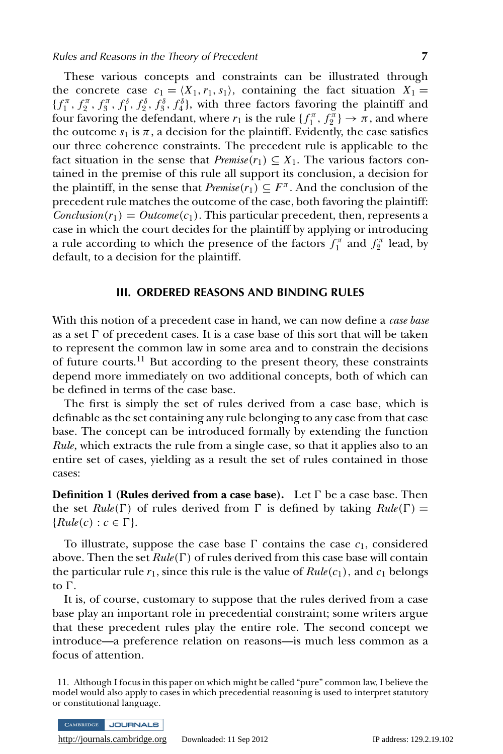These various concepts and constraints can be illustrated through the concrete case  $c_1 = \langle X_1, r_1, s_1 \rangle$ , containing the fact situation  $X_1 =$  ${f_1^{\pi}, f_2^{\pi}, f_3^{\pi}, f_1^{\delta}, f_2^{\delta}, f_3^{\delta}, f_4^{\delta}}$ , with three factors favoring the plaintiff and four favoring the defendant, where  $r_1$  is the rule  $\{f_1^{\pi}, f_2^{\pi}\} \rightarrow \pi$ , and where the outcome  $s_1$  is  $\pi$ , a decision for the plaintiff. Evidently, the case satisfies our three coherence constraints. The precedent rule is applicable to the fact situation in the sense that  $Premise(r_1) \subseteq X_1$ . The various factors contained in the premise of this rule all support its conclusion, a decision for the plaintiff, in the sense that  $Premise(r_1) \subseteq F^{\pi}$ . And the conclusion of the precedent rule matches the outcome of the case, both favoring the plaintiff:  $Conclusion(r_1) = Outcome(c_1)$ . This particular precedent, then, represents a case in which the court decides for the plaintiff by applying or introducing a rule according to which the presence of the factors  $f_1^{\pi}$  and  $f_2^{\pi}$  lead, by default, to a decision for the plaintiff.

### **III. ORDERED REASONS AND BINDING RULES**

With this notion of a precedent case in hand, we can now define a *case base* as a set  $\Gamma$  of precedent cases. It is a case base of this sort that will be taken to represent the common law in some area and to constrain the decisions of future courts.<sup>11</sup> But according to the present theory, these constraints depend more immediately on two additional concepts, both of which can be defined in terms of the case base.

The first is simply the set of rules derived from a case base, which is definable as the set containing any rule belonging to any case from that case base. The concept can be introduced formally by extending the function *Rule*, which extracts the rule from a single case, so that it applies also to an entire set of cases, yielding as a result the set of rules contained in those cases:

**Definition 1 (Rules derived from a case base).** Let  $\Gamma$  be a case base. Then the set  $Rule(\Gamma)$  of rules derived from  $\Gamma$  is defined by taking  $Rule(\Gamma) =$  ${Rule}(c) : c \in \Gamma$ .

To illustrate, suppose the case base  $\Gamma$  contains the case  $c_1$ , considered above. Then the set  $Rule(\Gamma)$  of rules derived from this case base will contain the particular rule  $r_1$ , since this rule is the value of  $Rule(c_1)$ , and  $c_1$  belongs to  $\Gamma$ .

It is, of course, customary to suppose that the rules derived from a case base play an important role in precedential constraint; some writers argue that these precedent rules play the entire role. The second concept we introduce—a preference relation on reasons—is much less common as a focus of attention.

11. Although I focus in this paper on which might be called "pure" common law, I believe the model would also apply to cases in which precedential reasoning is used to interpret statutory or constitutional language.

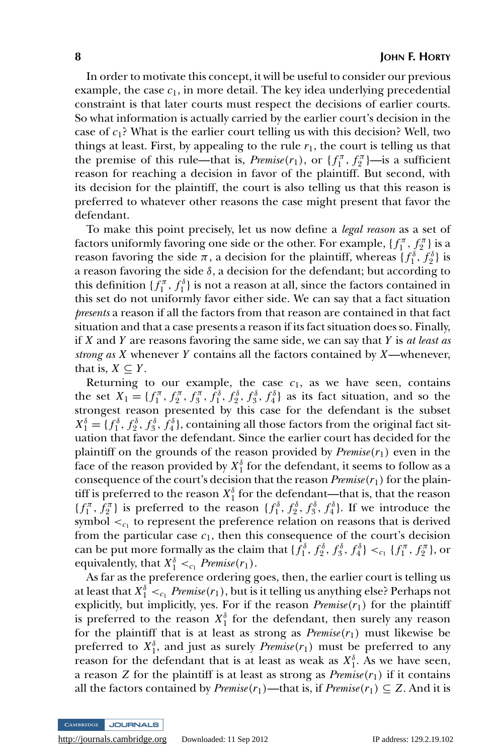In order to motivate this concept, it will be useful to consider our previous example, the case *c*1, in more detail. The key idea underlying precedential constraint is that later courts must respect the decisions of earlier courts. So what information is actually carried by the earlier court's decision in the case of  $c_1$ ? What is the earlier court telling us with this decision? Well, two things at least. First, by appealing to the rule  $r_1$ , the court is telling us that the premise of this rule—that is, *Premise*( $r_1$ ), or { $f_1^{\pi}$ ,  $f_2^{\pi}$ }—is a sufficient reason for reaching a decision in favor of the plaintiff. But second, with its decision for the plaintiff, the court is also telling us that this reason is preferred to whatever other reasons the case might present that favor the defendant.

To make this point precisely, let us now define a *legal reason* as a set of factors uniformly favoring one side or the other. For example,  $\{f_1^{\pi}, f_2^{\pi}\}$  is a reason favoring the side  $\pi$ , a decision for the plaintiff, whereas  $\{f_1^{\delta}, f_2^{\delta}\}$  is a reason favoring the side *δ*, a decision for the defendant; but according to this definition  $\{f_1^{\pi}, f_1^{\delta}\}$  is not a reason at all, since the factors contained in this set do not uniformly favor either side. We can say that a fact situation *presents* a reason if all the factors from that reason are contained in that fact situation and that a case presents a reason if its fact situation does so. Finally, if *X* and *Y* are reasons favoring the same side, we can say that *Y* is *at least as strong as X* whenever *Y* contains all the factors contained by *X*—whenever, that is,  $X \subseteq Y$ .

Returning to our example, the case  $c_1$ , as we have seen, contains the set  $X_1 = \{f_1^{\pi}, f_2^{\pi}, f_3^{\pi}, f_1^{\delta}, f_2^{\delta}, f_3^{\delta}, f_4^{\delta}\}\$ as its fact situation, and so the strongest reason presented by this case for the defendant is the subset  $X_1^{\delta} = \{f_1^{\delta}, f_2^{\delta}, f_3^{\delta}, \bar{f}_4^{\delta}\}\,$  containing all those factors from the original fact situation that favor the defendant. Since the earlier court has decided for the plaintiff on the grounds of the reason provided by  $P$ *remise*( $r_1$ ) even in the face of the reason provided by  $X_1^{\delta}$  for the defendant, it seems to follow as a consequence of the court's decision that the reason  $Premise(r_1)$  for the plaintiff is preferred to the reason  $X_1^{\delta}$  for the defendant—that is, that the reason  ${f_1^{\pi}, f_2^{\pi}}$  is preferred to the reason  ${f_1^{\delta}, f_2^{\delta}, f_3^{\delta}, f_4^{\delta}}$ . If we introduce the symbol  $\lt_{c_1}$  to represent the preference relation on reasons that is derived from the particular case  $c_1$ , then this consequence of the court's decision can be put more formally as the claim that  $\{f_1^{\delta}, f_2^{\delta}, f_3^{\delta}, f_4^{\delta}\} <_{c_1} \{f_1^{\pi}, f_2^{\pi}\}\$ , or equivalently, that  $X_1^{\delta} <_{c_1}$  *Premise*( $r_1$ ).

As far as the preference ordering goes, then, the earlier court is telling us at least that  $X_1^{\delta} <_{c_1}$  *Premise*( $r_1$ ), but is it telling us anything else? Perhaps not explicitly, but implicitly, yes. For if the reason  $Premise(r_1)$  for the plaintiff is preferred to the reason  $X_1^{\delta}$  for the defendant, then surely any reason for the plaintiff that is at least as strong as  $Premise(r_1)$  must likewise be preferred to  $X_1^{\delta}$ , and just as surely *Premise*( $r_1$ ) must be preferred to any reason for the defendant that is at least as weak as  $X_1^{\delta}$ . As we have seen, a reason *Z* for the plaintiff is at least as strong as  $Premise(r_1)$  if it contains all the factors contained by  $Premise(r_1)$ —that is, if  $Premise(r_1) \subseteq Z$ . And it is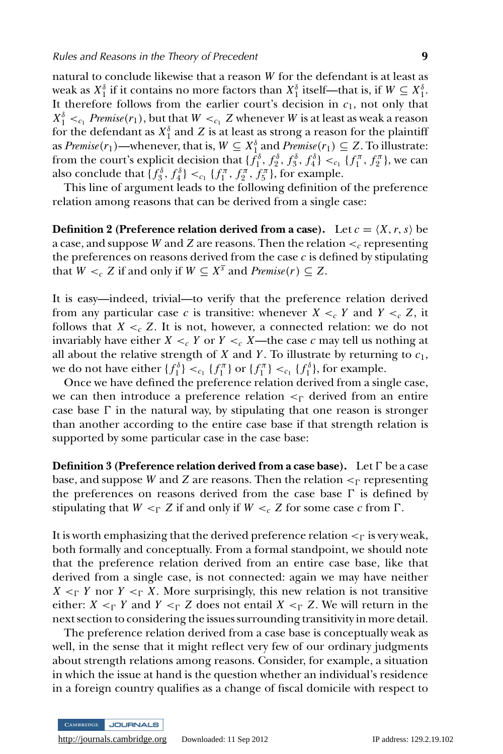natural to conclude likewise that a reason *W* for the defendant is at least as weak as  $X_1^{\delta}$  if it contains no more factors than  $X_1^{\delta}$  itself—that is, if  $W \subseteq X_1^{\delta}$ . It therefore follows from the earlier court's decision in  $c<sub>1</sub>$ , not only that  $X_1^{\delta} <_{c_1}$  *Premise*(*r*<sub>1</sub>), but that  $W <_{c_1} Z$  whenever *W* is at least as weak a reason for the defendant as  $X_1^{\delta}$  and  $Z$  is at least as strong a reason for the plaintiff as *Premise*( $r_1$ )—whenever, that is,  $W \subseteq X_1^{\delta}$  and  $Premise(r_1) \subseteq Z$ . To illustrate: from the court's explicit decision that  $\{f_1^{\delta}, f_2^{\delta}, f_3^{\delta}, f_4^{\delta}\} <_{c_1} \{f_1^{\pi}, f_2^{\pi}\}\$ , we can also conclude that  $\{f_3^{\delta}, f_4^{\delta}\} <_{c_1} \{f_1^{\pi}, f_2^{\pi}, f_5^{\pi}\}\$ , for example.

This line of argument leads to the following definition of the preference relation among reasons that can be derived from a single case:

**Definition 2 (Preference relation derived from a case).** Let  $c = \langle X, r, s \rangle$  be a case, and suppose *W* and *Z* are reasons. Then the relation *<c* representing the preferences on reasons derived from the case *c* is defined by stipulating that  $W \leq_c Z$  if and only if  $W \subseteq X^{\overline{s}}$  and  $Premise(r) \subseteq Z$ .

It is easy—indeed, trivial—to verify that the preference relation derived from any particular case *c* is transitive: whenever  $X \leq_c Y$  and  $Y \leq_c Z$ , it follows that  $X \leq_c Z$ . It is not, however, a connected relation: we do not invariably have either  $X \leq_c Y$  or  $Y \leq_c X$ —the case  $c$  may tell us nothing at all about the relative strength of  $X$  and  $Y$ . To illustrate by returning to  $c_1$ , we do not have either  $\{f_1^{\delta}\} <_{c_1} \{f_1^{\pi}\}$  or  $\{f_1^{\pi}\} <_{c_1} \{f_1^{\delta}\}$ , for example.

Once we have defined the preference relation derived from a single case, we can then introduce a preference relation  $\leq_{\Gamma}$  derived from an entire case base  $\Gamma$  in the natural way, by stipulating that one reason is stronger than another according to the entire case base if that strength relation is supported by some particular case in the case base:

**Definition 3 (Preference relation derived from a case base).** Let  $\Gamma$  be a case base, and suppose *W* and *Z* are reasons. Then the relation  $\lt_\Gamma$  representing the preferences on reasons derived from the case base  $\Gamma$  is defined by stipulating that  $W <_{\Gamma} Z$  if and only if  $W <_{c} Z$  for some case *c* from  $\Gamma$ .

It is worth emphasizing that the derived preference relation  $\langle \nabla \cdot \nabla \cdot \nabla \cdot \nabla \cdot \nabla \cdot \nabla \cdot \nabla \cdot \nabla \cdot \nabla \cdot \nabla \cdot \nabla \cdot \nabla \cdot \nabla \cdot \nabla \cdot \nabla \cdot \nabla \cdot \nabla \cdot \nabla \cdot \nabla \cdot \nabla \cdot \nabla \cdot \nabla \cdot \nabla \cdot \nabla \cdot \nabla \cdot \nabla \cdot \$ both formally and conceptually. From a formal standpoint, we should note that the preference relation derived from an entire case base, like that derived from a single case, is not connected: again we may have neither  $X \leq_{\Gamma} Y$  nor  $Y \leq_{\Gamma} X$ . More surprisingly, this new relation is not transitive either:  $X \leq_Y Y$  and  $Y \leq_Y Z$  does not entail  $X \leq_Y Z$ . We will return in the next section to considering the issues surrounding transitivity in more detail.

The preference relation derived from a case base is conceptually weak as well, in the sense that it might reflect very few of our ordinary judgments about strength relations among reasons. Consider, for example, a situation in which the issue at hand is the question whether an individual's residence in a foreign country qualifies as a change of fiscal domicile with respect to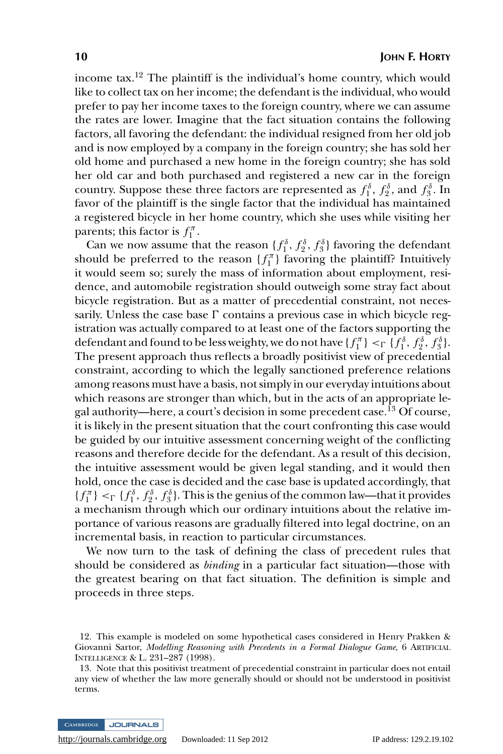income tax.12 The plaintiff is the individual's home country, which would like to collect tax on her income; the defendant is the individual, who would prefer to pay her income taxes to the foreign country, where we can assume the rates are lower. Imagine that the fact situation contains the following factors, all favoring the defendant: the individual resigned from her old job and is now employed by a company in the foreign country; she has sold her old home and purchased a new home in the foreign country; she has sold her old car and both purchased and registered a new car in the foreign country. Suppose these three factors are represented as  $f_1^{\delta}$ ,  $f_2^{\delta}$ , and  $f_3^{\delta}$ . In favor of the plaintiff is the single factor that the individual has maintained a registered bicycle in her home country, which she uses while visiting her parents; this factor is  $f_1^{\pi}$ .

Can we now assume that the reason  $\{f_1^{\delta}, f_2^{\delta}, f_3^{\delta}\}\$  favoring the defendant should be preferred to the reason  $\{f_1^{\pi}\}\$  favoring the plaintiff? Intuitively it would seem so; surely the mass of information about employment, residence, and automobile registration should outweigh some stray fact about bicycle registration. But as a matter of precedential constraint, not necessarily. Unless the case base  $\Gamma$  contains a previous case in which bicycle registration was actually compared to at least one of the factors supporting the defendant and found to be less weighty, we do not have  $\{f_1^{\pi}\}\leq_\Gamma \{f_1^{\delta}, f_2^{\delta}, f_3^{\delta}\}.$ The present approach thus reflects a broadly positivist view of precedential constraint, according to which the legally sanctioned preference relations among reasons must have a basis, not simply in our everyday intuitions about which reasons are stronger than which, but in the acts of an appropriate legal authority—here, a court's decision in some precedent case.<sup>13</sup> Of course, it is likely in the present situation that the court confronting this case would be guided by our intuitive assessment concerning weight of the conflicting reasons and therefore decide for the defendant. As a result of this decision, the intuitive assessment would be given legal standing, and it would then hold, once the case is decided and the case base is updated accordingly, that  ${f_1^{\pi}} <$   $\Gamma$   ${f_1^{\delta}, f_2^{\delta}, f_3^{\delta}}$ . This is the genius of the common law—that it provides a mechanism through which our ordinary intuitions about the relative importance of various reasons are gradually filtered into legal doctrine, on an incremental basis, in reaction to particular circumstances.

We now turn to the task of defining the class of precedent rules that should be considered as *binding* in a particular fact situation—those with the greatest bearing on that fact situation. The definition is simple and proceeds in three steps.

JOURNALS **CAMBRIDGE** 

<sup>12.</sup> This example is modeled on some hypothetical cases considered in Henry Prakken & Giovanni Sartor, *Modelling Reasoning with Precedents in a Formal Dialogue Game*, 6 ARTIFICIAL INTELLIGENCE & L. 231–287 (1998).

<sup>13.</sup> Note that this positivist treatment of precedential constraint in particular does not entail any view of whether the law more generally should or should not be understood in positivist terms.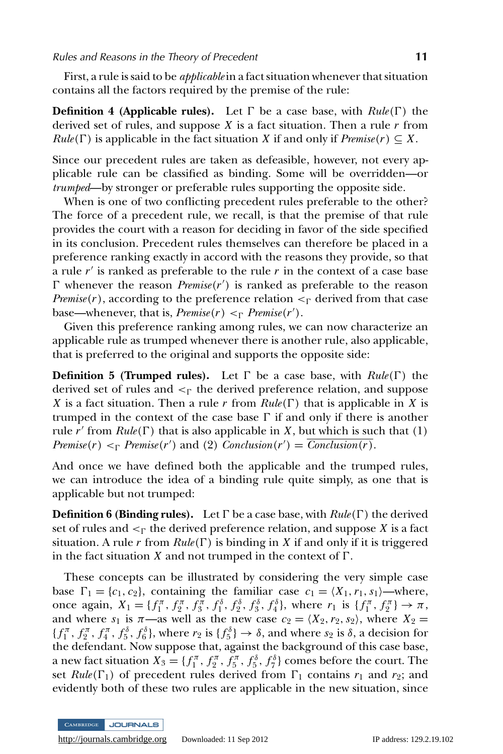First, a rule is said to be *applicable* in a fact situation whenever that situation contains all the factors required by the premise of the rule:

**Definition 4 (Applicable rules).** Let  $\Gamma$  be a case base, with  $Rule(\Gamma)$  the derived set of rules, and suppose *X* is a fact situation. Then a rule *r* from *Rule*( $\Gamma$ ) is applicable in the fact situation *X* if and only if *Premise*( $r$ )  $\subseteq X$ .

Since our precedent rules are taken as defeasible, however, not every applicable rule can be classified as binding. Some will be overridden—or *trumped*—by stronger or preferable rules supporting the opposite side.

When is one of two conflicting precedent rules preferable to the other? The force of a precedent rule, we recall, is that the premise of that rule provides the court with a reason for deciding in favor of the side specified in its conclusion. Precedent rules themselves can therefore be placed in a preference ranking exactly in accord with the reasons they provide, so that a rule  $r'$  is ranked as preferable to the rule  $r$  in the context of a case base  $\Gamma$  whenever the reason *Premise*( $r'$ ) is ranked as preferable to the reason *Premise*( $r$ ), according to the preference relation  $\lt_\Gamma$  derived from that case base—whenever, that is,  $\text{Premise}(r) <_{\Gamma} \text{Premise}(r')$ .

Given this preference ranking among rules, we can now characterize an applicable rule as trumped whenever there is another rule, also applicable, that is preferred to the original and supports the opposite side:

**Definition 5 (Trumped rules).** Let  $\Gamma$  be a case base, with  $Rule(\Gamma)$  the derived set of rules and  $\leq_{\Gamma}$  the derived preference relation, and suppose *X* is a fact situation. Then a rule *r* from  $Rule(\Gamma)$  that is applicable in *X* is trumped in the context of the case base  $\Gamma$  if and only if there is another rule  $r'$  from  $Rule(\Gamma)$  that is also applicable in *X*, but which is such that (1) *Premise*(*r*)  $\lt_{\Gamma}$  *Premise*(*r'*) and (2) *Conclusion*(*r'*) =  $\overline{Conclusion(r)}$ .

And once we have defined both the applicable and the trumped rules, we can introduce the idea of a binding rule quite simply, as one that is applicable but not trumped:

**Definition 6 (Binding rules).** Let  $\Gamma$  be a case base, with  $Rule(\Gamma)$  the derived set of rules and  $\leq_{\Gamma}$  the derived preference relation, and suppose *X* is a fact situation. A rule r from  $Rule(\Gamma)$  is binding in X if and only if it is triggered in the fact situation  $X$  and not trumped in the context of  $\Gamma$ .

These concepts can be illustrated by considering the very simple case base  $\Gamma_1 = \{c_1, c_2\}$ , containing the familiar case  $c_1 = \langle X_1, r_1, s_1 \rangle$ —where, once again,  $X_1 = \{f_1^{\pi}, f_2^{\pi}, f_3^{\pi}, f_1^{\delta}, f_2^{\delta}, f_3^{\delta}, f_4^{\delta}\}\$ , where  $r_1$  is  $\{f_1^{\pi}, f_2^{\pi}\} \to \pi$ , and where  $s_1$  is  $\pi$ —as well as the new case  $c_2 = \langle X_2, r_2, s_2 \rangle$ , where  $X_2 =$  ${f_1^{\pi}, f_2^{\pi}, f_3^{\pi}, f_5^{\delta}, f_6^{\delta}}$ , where  $r_2$  is  ${f_5^{\delta}} \rightarrow \delta$ , and where  $s_2$  is  $\delta$ , a decision for the defendant. Now suppose that, against the background of this case base, a new fact situation  $X_3 = \{f_1^{\pi}, f_2^{\pi}, f_5^{\pi}, f_5^{\delta}, f_7^{\delta}\}\)$  comes before the court. The set *Rule*( $\Gamma_1$ ) of precedent rules derived from  $\Gamma_1$  contains  $r_1$  and  $r_2$ ; and evidently both of these two rules are applicable in the new situation, since

CAMBRIDGE JOURNALS

<http://journals.cambridge.org> Downloaded: 11 Sep 2012 IP address: 129.2.19.102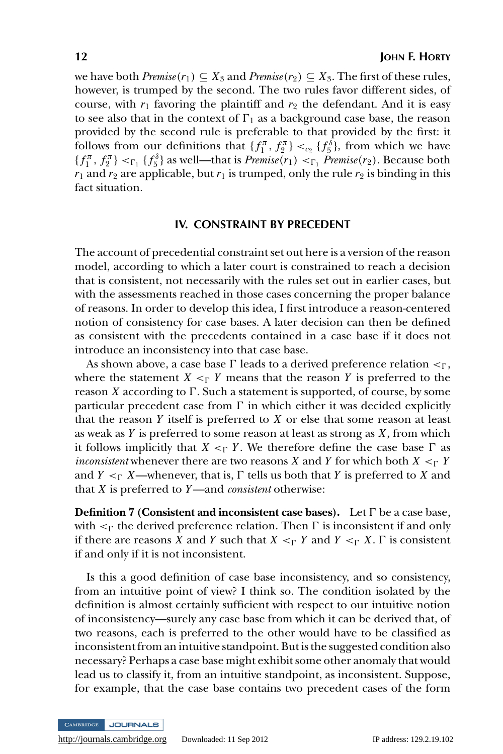we have both  $Premise(r_1) \subseteq X_3$  and  $Premise(r_2) \subseteq X_3$ . The first of these rules, however, is trumped by the second. The two rules favor different sides, of course, with  $r_1$  favoring the plaintiff and  $r_2$  the defendant. And it is easy to see also that in the context of  $\Gamma_1$  as a background case base, the reason provided by the second rule is preferable to that provided by the first: it follows from our definitions that  $\{f_1^{\pi}, f_2^{\pi}\} <_{c_2} \{f_5^{\delta}\}\$ , from which we have  ${f_1^{\pi}, f_2^{\pi}} <$ <sub> $\Gamma_1$ </sub>  ${f_5^{\delta}}$  as well—that is *Premise*( $r_1$ ) *<*<sub> $\Gamma_1$ </sub> *Premise*( $r_2$ ). Because both  $r_1$  and  $r_2$  are applicable, but  $r_1$  is trumped, only the rule  $r_2$  is binding in this fact situation.

# **IV. CONSTRAINT BY PRECEDENT**

The account of precedential constraint set out here is a version of the reason model, according to which a later court is constrained to reach a decision that is consistent, not necessarily with the rules set out in earlier cases, but with the assessments reached in those cases concerning the proper balance of reasons. In order to develop this idea, I first introduce a reason-centered notion of consistency for case bases. A later decision can then be defined as consistent with the precedents contained in a case base if it does not introduce an inconsistency into that case base.

As shown above, a case base  $\Gamma$  leads to a derived preference relation  $\lt_{\Gamma}$ , where the statement  $X \leq_Y Y$  means that the reason *Y* is preferred to the reason  $X$  according to  $\Gamma$ . Such a statement is supported, of course, by some particular precedent case from  $\Gamma$  in which either it was decided explicitly that the reason *Y* itself is preferred to *X* or else that some reason at least as weak as *Y* is preferred to some reason at least as strong as *X*, from which it follows implicitly that  $X \leq_Y Y$ . We therefore define the case base  $\Gamma$  as *inconsistent* whenever there are two reasons *X* and *Y* for which both  $X \leq_Y Y$ and *Y*  $\lt_{\Gamma}$  *X*—whenever, that is,  $\Gamma$  tells us both that *Y* is preferred to *X* and that *X* is preferred to *Y*—and *consistent* otherwise:

**Definition 7 (Consistent and inconsistent case bases).** Let  $\Gamma$  be a case base, with  $\leq_{\Gamma}$  the derived preference relation. Then  $\Gamma$  is inconsistent if and only if there are reasons *X* and *Y* such that  $X \leq_Y Y$  and  $Y \leq_Y X$ .  $\Gamma$  is consistent if and only if it is not inconsistent.

Is this a good definition of case base inconsistency, and so consistency, from an intuitive point of view? I think so. The condition isolated by the definition is almost certainly sufficient with respect to our intuitive notion of inconsistency—surely any case base from which it can be derived that, of two reasons, each is preferred to the other would have to be classified as inconsistent from an intuitive standpoint. But is the suggested condition also necessary? Perhaps a case base might exhibit some other anomaly that would lead us to classify it, from an intuitive standpoint, as inconsistent. Suppose, for example, that the case base contains two precedent cases of the form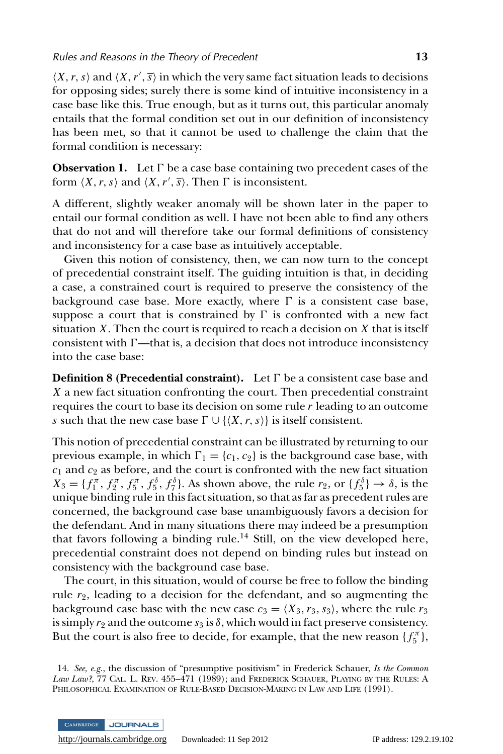# Rules and Reasons in the Theory of Precedent **13**

 $\langle X, r, s \rangle$  and  $\langle X, r', \overline{s} \rangle$  in which the very same fact situation leads to decisions for opposing sides; surely there is some kind of intuitive inconsistency in a case base like this. True enough, but as it turns out, this particular anomaly entails that the formal condition set out in our definition of inconsistency has been met, so that it cannot be used to challenge the claim that the formal condition is necessary:

**Observation 1.** Let  $\Gamma$  be a case base containing two precedent cases of the form  $\langle X, r, s \rangle$  and  $\langle X, r', \overline{s} \rangle$ . Then  $\Gamma$  is inconsistent.

A different, slightly weaker anomaly will be shown later in the paper to entail our formal condition as well. I have not been able to find any others that do not and will therefore take our formal definitions of consistency and inconsistency for a case base as intuitively acceptable.

Given this notion of consistency, then, we can now turn to the concept of precedential constraint itself. The guiding intuition is that, in deciding a case, a constrained court is required to preserve the consistency of the background case base. More exactly, where  $\Gamma$  is a consistent case base, suppose a court that is constrained by  $\Gamma$  is confronted with a new fact situation *X*. Then the court is required to reach a decision on *X* that is itself consistent with  $\Gamma$ —that is, a decision that does not introduce inconsistency into the case base:

**Definition 8 (Precedential constraint).** Let  $\Gamma$  be a consistent case base and *X* a new fact situation confronting the court. Then precedential constraint requires the court to base its decision on some rule *r* leading to an outcome *s* such that the new case base  $\Gamma \cup \{ \langle X, r, s \rangle \}$  is itself consistent.

This notion of precedential constraint can be illustrated by returning to our previous example, in which  $\Gamma_1 = \{c_1, c_2\}$  is the background case base, with  $c_1$  and  $c_2$  as before, and the court is confronted with the new fact situation  $X_3 = \{f_1^{\pi}, f_2^{\pi}, f_5^{\pi}, f_5^{\delta}, f_7^{\delta}\}\$ . As shown above, the rule  $r_2$ , or  $\{f_5^{\delta}\} \to \delta$ , is the unique binding rule in this fact situation, so that as far as precedent rules are concerned, the background case base unambiguously favors a decision for the defendant. And in many situations there may indeed be a presumption that favors following a binding rule.<sup>14</sup> Still, on the view developed here, precedential constraint does not depend on binding rules but instead on consistency with the background case base.

The court, in this situation, would of course be free to follow the binding rule  $r_2$ , leading to a decision for the defendant, and so augmenting the background case base with the new case  $c_3 = \langle X_3, r_3, s_3 \rangle$ , where the rule  $r_3$ is simply  $r_2$  and the outcome  $s_3$  is  $\delta$ , which would in fact preserve consistency. But the court is also free to decide, for example, that the new reason  $\{f_5^{\pi}\},$ 

CAMBRIDGE JOURNALS

<sup>14.</sup> *See, e.g.*, the discussion of "presumptive positivism" in Frederick Schauer, *Is the Common Law Law?*, 77 CAL. L. REV. 455–471 (1989); and FREDERICK SCHAUER, PLAYING BY THE RULES: A PHILOSOPHICAL EXAMINATION OF RULE-BASED DECISION-MAKING IN LAW AND LIFE (1991).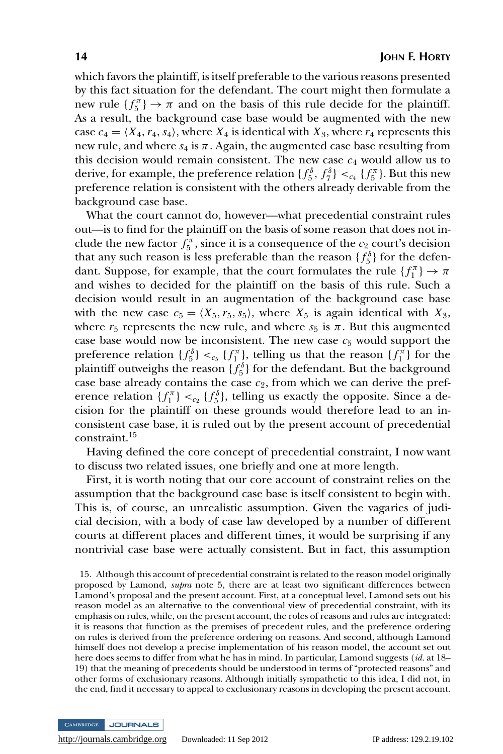which favors the plaintiff, is itself preferable to the various reasons presented by this fact situation for the defendant. The court might then formulate a new rule  ${f_5^{\pi}} \rightarrow \pi$  and on the basis of this rule decide for the plaintiff. As a result, the background case base would be augmented with the new case  $c_4 = \langle X_4, r_4, s_4 \rangle$ , where  $X_4$  is identical with  $X_3$ , where  $r_4$  represents this new rule, and where  $s_4$  is  $\pi$ . Again, the augmented case base resulting from this decision would remain consistent. The new case  $c_4$  would allow us to derive, for example, the preference relation  $\{f_5^{\delta}, f_7^{\delta}\} <_{c_4} \{f_5^{\pi}\}\$ . But this new preference relation is consistent with the others already derivable from the background case base.

What the court cannot do, however—what precedential constraint rules out—is to find for the plaintiff on the basis of some reason that does not include the new factor  $f_5^{\pi}$ , since it is a consequence of the  $c_2$  court's decision that any such reason is less preferable than the reason  $\{f_5^{\delta}\}$  for the defendant. Suppose, for example, that the court formulates the rule  ${f_1^{\pi}} \rightarrow \pi$ and wishes to decided for the plaintiff on the basis of this rule. Such a decision would result in an augmentation of the background case base with the new case  $c_5 = \langle X_5, r_5, s_5 \rangle$ , where  $X_5$  is again identical with  $X_3$ , where  $r_5$  represents the new rule, and where  $s_5$  is  $\pi$ . But this augmented case base would now be inconsistent. The new case  $c<sub>5</sub>$  would support the preference relation  $\{f_5^{\delta}\}\leq_{c_5} \{f_1^{\pi}\}\$ , telling us that the reason  $\{f_1^{\pi}\}\$  for the plaintiff outweighs the reason  $\{f_5^{\delta}\}$  for the defendant. But the background case base already contains the case  $c_2$ , from which we can derive the preference relation  $\{f_1^{\pi}\}\leq_{c_2} \{f_5^{\delta}\}\$ , telling us exactly the opposite. Since a decision for the plaintiff on these grounds would therefore lead to an inconsistent case base, it is ruled out by the present account of precedential constraint.<sup>15</sup>

Having defined the core concept of precedential constraint, I now want to discuss two related issues, one briefly and one at more length.

First, it is worth noting that our core account of constraint relies on the assumption that the background case base is itself consistent to begin with. This is, of course, an unrealistic assumption. Given the vagaries of judicial decision, with a body of case law developed by a number of different courts at different places and different times, it would be surprising if any nontrivial case base were actually consistent. But in fact, this assumption

JOURNALS **CAMBRIDGE** 

<sup>15.</sup> Although this account of precedential constraint is related to the reason model originally proposed by Lamond, *supra* note 5, there are at least two significant differences between Lamond's proposal and the present account. First, at a conceptual level, Lamond sets out his reason model as an alternative to the conventional view of precedential constraint, with its emphasis on rules, while, on the present account, the roles of reasons and rules are integrated: it is reasons that function as the premises of precedent rules, and the preference ordering on rules is derived from the preference ordering on reasons. And second, although Lamond himself does not develop a precise implementation of his reason model, the account set out here does seems to differ from what he has in mind. In particular, Lamond suggests (*id.* at 18– 19) that the meaning of precedents should be understood in terms of "protected reasons" and other forms of exclusionary reasons. Although initially sympathetic to this idea, I did not, in the end, find it necessary to appeal to exclusionary reasons in developing the present account.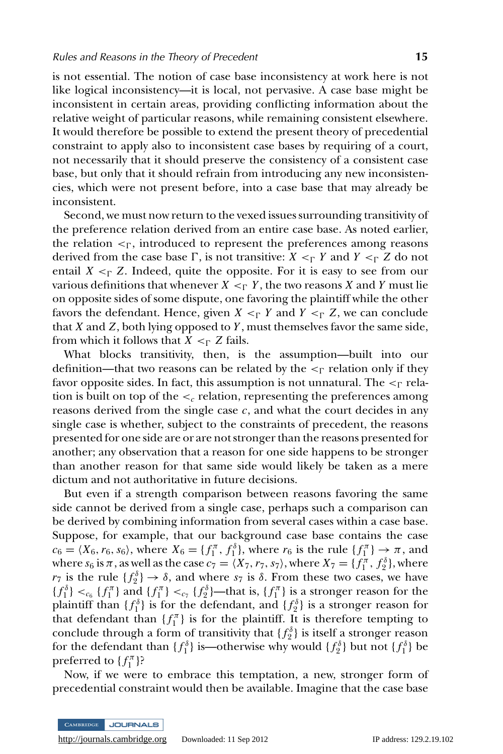is not essential. The notion of case base inconsistency at work here is not like logical inconsistency—it is local, not pervasive. A case base might be inconsistent in certain areas, providing conflicting information about the relative weight of particular reasons, while remaining consistent elsewhere. It would therefore be possible to extend the present theory of precedential constraint to apply also to inconsistent case bases by requiring of a court, not necessarily that it should preserve the consistency of a consistent case base, but only that it should refrain from introducing any new inconsistencies, which were not present before, into a case base that may already be inconsistent.

Second, we must now return to the vexed issues surrounding transitivity of the preference relation derived from an entire case base. As noted earlier, the relation  $\leq_{\Gamma}$ , introduced to represent the preferences among reasons derived from the case base  $\Gamma$ , is not transitive:  $X \leq_{\Gamma} Y$  and  $Y \leq_{\Gamma} Z$  do not entail  $X \leq_{\Gamma} Z$ . Indeed, quite the opposite. For it is easy to see from our various definitions that whenever  $X \leq_Y Y$ , the two reasons *X* and *Y* must lie on opposite sides of some dispute, one favoring the plaintiff while the other favors the defendant. Hence, given  $X \leq_Y Y$  and  $Y \leq_Y Z$ , we can conclude that *X* and *Z*, both lying opposed to *Y* , must themselves favor the same side, from which it follows that  $X \leq_{\Gamma} Z$  fails.

What blocks transitivity, then, is the assumption—built into our definition—that two reasons can be related by the  $\leq_\Gamma$  relation only if they favor opposite sides. In fact, this assumption is not unnatural. The  $\lt_{\Gamma}$  relation is built on top of the  $\lt_c$  relation, representing the preferences among reasons derived from the single case *c*, and what the court decides in any single case is whether, subject to the constraints of precedent, the reasons presented for one side are or are not stronger than the reasons presented for another; any observation that a reason for one side happens to be stronger than another reason for that same side would likely be taken as a mere dictum and not authoritative in future decisions.

But even if a strength comparison between reasons favoring the same side cannot be derived from a single case, perhaps such a comparison can be derived by combining information from several cases within a case base. Suppose, for example, that our background case base contains the case  $c_6 = \langle X_6, r_6, s_6 \rangle$ , where  $X_6 = \{f_1^{\pi}, f_1^{\delta}\}\$ , where  $r_6$  is the rule  $\{f_1^{\pi}\} \to \pi$ , and where  $s_6$  is  $\pi$ , as well as the case  $c_7 = \langle X_7, r_7, s_7 \rangle$ , where  $X_7 = \{f_1^{\pi}, f_2^{\delta}\}$ , where *r*<sub>7</sub> is the rule  $\{f_2^{\delta}\}\rightarrow \delta$ , and where *s*<sub>7</sub> is  $\delta$ . From these two cases, we have  ${f_1^{\delta}} <_{c_6} {f_1^{\pi}}$  and  ${f_1^{\pi}} <_{c_7} {f_2^{\delta}}$  —that is,  ${f_1^{\pi}}$  is a stronger reason for the plaintiff than  $\{f_1^{\delta}\}$  is for the defendant, and  $\{f_2^{\delta}\}$  is a stronger reason for that defendant than  ${f_1^{\pi}}$  is for the plaintiff. It is therefore tempting to conclude through a form of transitivity that  ${f_2^{\delta}}$  is itself a stronger reason for the defendant than  $\{f_1^{\delta}\}$  is—otherwise why would  $\{f_2^{\delta}\}$  but not  $\{f_1^{\delta}\}$  be preferred to  $\{f_1^{\pi}\}$ ?

Now, if we were to embrace this temptation, a new, stronger form of precedential constraint would then be available. Imagine that the case base

CAMBRIDGE JOURNALS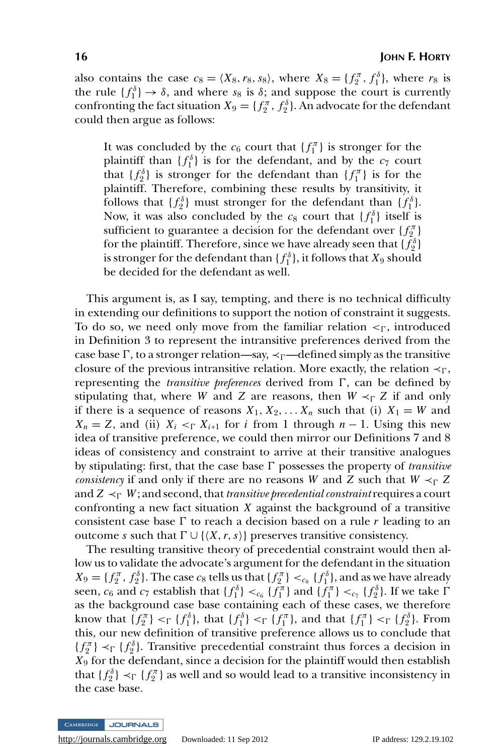also contains the case  $c_8 = \langle X_8, r_8, s_8 \rangle$ , where  $X_8 = \{f_2^{\pi}, f_1^{\delta}\}\$ , where  $r_8$  is the rule  $\{f_1^{\delta}\}\rightarrow \delta$ , and where  $s_8$  is  $\delta$ ; and suppose the court is currently confronting the fact situation  $X_9 = \{f_2^\pi, f_2^\delta\}$ . An advocate for the defendant could then argue as follows:

It was concluded by the  $c_6$  court that  $\{f_1^{\pi}\}\$  is stronger for the plaintiff than  $\{f_1^{\delta}\}$  is for the defendant, and by the  $c_7$  court that  ${f_2^{\delta}}$  is stronger for the defendant than  ${f_1^{\pi}}$  is for the plaintiff. Therefore, combining these results by transitivity, it follows that  $\{f_2^{\delta}\}\)$  must stronger for the defendant than  $\{f_1^{\delta}\}\)$ . Now, it was also concluded by the  $c_8$  court that  $\{f_1^{\delta}\}\)$  itself is sufficient to guarantee a decision for the defendant over  $\{f_{2_{s}}^{\pi}\}$ for the plaintiff. Therefore, since we have already seen that  $\{f_2^{\delta}\}$ is stronger for the defendant than  $\{f_1^{\delta}\}$ , it follows that  $X_9$  should be decided for the defendant as well.

This argument is, as I say, tempting, and there is no technical difficulty in extending our definitions to support the notion of constraint it suggests. To do so, we need only move from the familiar relation  $\langle \cdot \rangle$ , introduced in Definition 3 to represent the intransitive preferences derived from the case base  $\Gamma$ , to a stronger relation—say,  $\prec_{\Gamma}$ —defined simply as the transitive closure of the previous intransitive relation. More exactly, the relation  $\prec_{\Gamma}$ , representing the *transitive preferences* derived from  $\Gamma$ , can be defined by stipulating that, where *W* and *Z* are reasons, then  $W \prec_{\Gamma} Z$  if and only if there is a sequence of reasons  $X_1, X_2, \ldots, X_n$  such that (i)  $X_1 = W$  and  $X_n = Z$ , and (ii)  $X_i \leq Y_i X_{i+1}$  for *i* from 1 through  $n-1$ . Using this new idea of transitive preference, we could then mirror our Definitions 7 and 8 ideas of consistency and constraint to arrive at their transitive analogues by stipulating: first, that the case base  $\Gamma$  possesses the property of *transitive consistency* if and only if there are no reasons *W* and *Z* such that  $W \prec_{\Gamma} Z$ and  $Z \prec_{\Gamma} W$ ; and second, that *transitive precedential constraint* requires a court confronting a new fact situation *X* against the background of a transitive consistent case base  $\Gamma$  to reach a decision based on a rule r leading to an outcome *s* such that  $\Gamma \cup \{ \langle X, r, s \rangle \}$  preserves transitive consistency.

The resulting transitive theory of precedential constraint would then allow us to validate the advocate's argument for the defendant in the situation  $X_9 = \{f_2^{\pi}, f_2^{\delta}\}$ . The case  $c_8$  tells us that  $\{f_2^{\pi}\} <_{c_8} \{f_1^{\delta}\}$ , and as we have already seen,  $c_6$  and  $c_7$  establish that  $\{f_1^{\delta}\} <_{c_6} \{f_1^{\pi}\}\$  and  $\{f_1^{\pi}\} <_{c_7} \{f_2^{\delta}\}\$ . If we take  $\Gamma$ as the background case base containing each of these cases, we therefore know that  $\{f_2^{\pi}\}$  <  $_{\Gamma} \{f_1^{\delta}\}$ , that  $\{f_1^{\delta}\}$  <  $_{\Gamma} \{f_1^{\pi}\}$ , and that  $\{f_1^{\pi}\}$  <  $_{\Gamma} \{f_2^{\delta}\}$ . From this, our new definition of transitive preference allows us to conclude that  ${f_2^{\pi}} \rightarrow {f_2^{\delta}}$ . Transitive precedential constraint thus forces a decision in *X*<sup>9</sup> for the defendant, since a decision for the plaintiff would then establish that  ${f_2^{\delta}} \prec_{\Gamma} {f_2^{\pi}}$  as well and so would lead to a transitive inconsistency in the case base.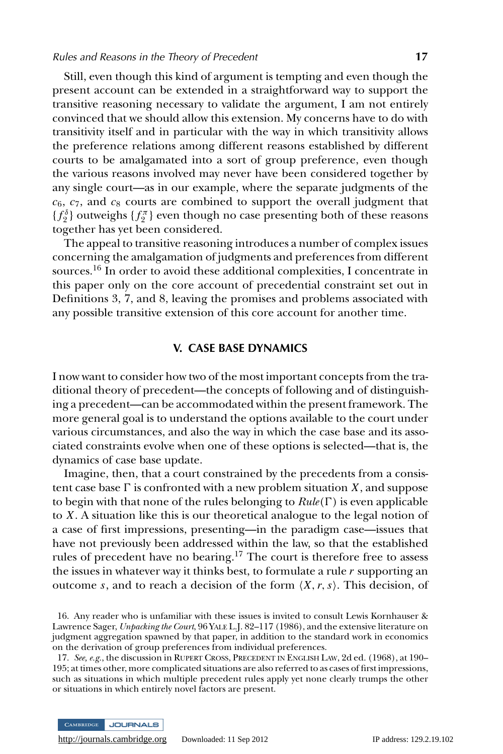Still, even though this kind of argument is tempting and even though the present account can be extended in a straightforward way to support the transitive reasoning necessary to validate the argument, I am not entirely convinced that we should allow this extension. My concerns have to do with transitivity itself and in particular with the way in which transitivity allows the preference relations among different reasons established by different courts to be amalgamated into a sort of group preference, even though the various reasons involved may never have been considered together by any single court—as in our example, where the separate judgments of the  $c_6$ ,  $c_7$ , and  $c_8$  courts are combined to support the overall judgment that  ${f_2^{\delta}}$  outweighs  ${f_2^{\pi}}$  even though no case presenting both of these reasons together has yet been considered.

The appeal to transitive reasoning introduces a number of complex issues concerning the amalgamation of judgments and preferences from different sources.16 In order to avoid these additional complexities, I concentrate in this paper only on the core account of precedential constraint set out in Definitions 3, 7, and 8, leaving the promises and problems associated with any possible transitive extension of this core account for another time.

# **V. CASE BASE DYNAMICS**

I now want to consider how two of the most important concepts from the traditional theory of precedent—the concepts of following and of distinguishing a precedent—can be accommodated within the present framework. The more general goal is to understand the options available to the court under various circumstances, and also the way in which the case base and its associated constraints evolve when one of these options is selected—that is, the dynamics of case base update.

Imagine, then, that a court constrained by the precedents from a consistent case base  $\Gamma$  is confronted with a new problem situation  $X$ , and suppose to begin with that none of the rules belonging to  $Rule(\Gamma)$  is even applicable to *X*. A situation like this is our theoretical analogue to the legal notion of a case of first impressions, presenting—in the paradigm case—issues that have not previously been addressed within the law, so that the established rules of precedent have no bearing.17 The court is therefore free to assess the issues in whatever way it thinks best, to formulate a rule *r* supporting an outcome *s*, and to reach a decision of the form  $\langle X, r, s \rangle$ . This decision, of

<sup>17.</sup> *See, e.g.*, the discussion in RUPERT CROSS, PRECEDENT IN ENGLISH LAW, 2d ed. (1968), at 190– 195; at times other, more complicated situations are also referred to as cases of first impressions, such as situations in which multiple precedent rules apply yet none clearly trumps the other or situations in which entirely novel factors are present.



<sup>16.</sup> Any reader who is unfamiliar with these issues is invited to consult Lewis Kornhauser & Lawrence Sager, *Unpacking the Court*, 96 YALE L.J. 82–117 (1986), and the extensive literature on judgment aggregation spawned by that paper, in addition to the standard work in economics on the derivation of group preferences from individual preferences.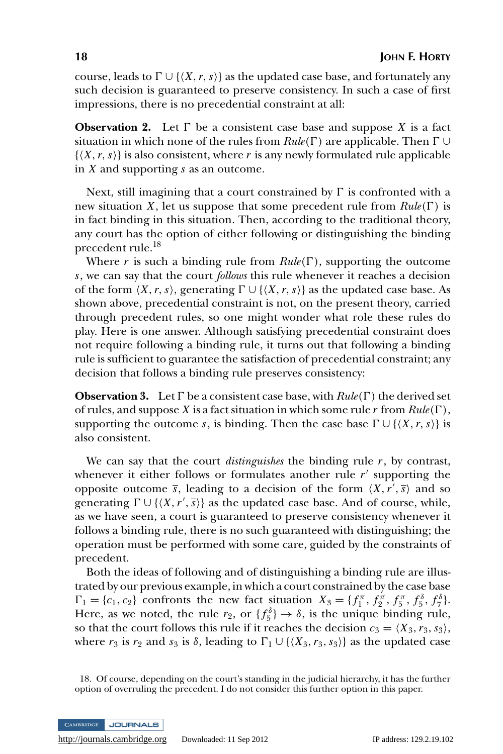course, leads to  $\Gamma \cup \{ \langle X, r, s \rangle \}$  as the updated case base, and fortunately any such decision is guaranteed to preserve consistency. In such a case of first impressions, there is no precedential constraint at all:

**Observation 2.** Let  $\Gamma$  be a consistent case base and suppose *X* is a fact situation in which none of the rules from  $Rule(\Gamma)$  are applicable. Then  $\Gamma \cup$  $\{\langle X, r, s \rangle\}$  is also consistent, where *r* is any newly formulated rule applicable in *X* and supporting *s* as an outcome.

Next, still imagining that a court constrained by  $\Gamma$  is confronted with a new situation *X*, let us suppose that some precedent rule from  $Rule(\Gamma)$  is in fact binding in this situation. Then, according to the traditional theory, any court has the option of either following or distinguishing the binding precedent rule.<sup>18</sup>

Where *r* is such a binding rule from  $Rule(\Gamma)$ , supporting the outcome *s*, we can say that the court *follows* this rule whenever it reaches a decision of the form  $\langle X, r, s \rangle$ , generating  $\Gamma \cup \{ \langle X, r, s \rangle \}$  as the updated case base. As shown above, precedential constraint is not, on the present theory, carried through precedent rules, so one might wonder what role these rules do play. Here is one answer. Although satisfying precedential constraint does not require following a binding rule, it turns out that following a binding rule is sufficient to guarantee the satisfaction of precedential constraint; any decision that follows a binding rule preserves consistency:

**Observation 3.** Let  $\Gamma$  be a consistent case base, with  $Rule(\Gamma)$  the derived set of rules, and suppose X is a fact situation in which some rule  $r$  from  $Rule(\Gamma)$ , supporting the outcome *s*, is binding. Then the case base  $\Gamma \cup \{ \langle X, r, s \rangle \}$  is also consistent.

We can say that the court *distinguishes* the binding rule *r*, by contrast, whenever it either follows or formulates another rule r' supporting the opposite outcome  $\bar{s}$ , leading to a decision of the form  $\langle X, r', \bar{s} \rangle$  and so generating  $\Gamma \cup \{ \langle X, r', \overline{s} \rangle \}$  as the updated case base. And of course, while, as we have seen, a court is guaranteed to preserve consistency whenever it follows a binding rule, there is no such guaranteed with distinguishing; the operation must be performed with some care, guided by the constraints of precedent.

Both the ideas of following and of distinguishing a binding rule are illustrated by our previous example, in which a court constrained by the case base  $\Gamma_1 = \{c_1, c_2\}$  confronts the new fact situation  $X_3 = \{f_1^{\pi}, f_2^{\pi}, f_5^{\pi}, f_5^{\delta}, f_7^{\delta}\}.$ Here, as we noted, the rule  $r_2$ , or  $\{f_5^{\delta}\} \rightarrow \delta$ , is the unique binding rule, so that the court follows this rule if it reaches the decision  $c_3 = \langle X_3, r_3, s_3 \rangle$ , where  $r_3$  is  $r_2$  and  $s_3$  is  $\delta$ , leading to  $\Gamma_1 \cup \{ \langle X_3, r_3, s_3 \rangle \}$  as the updated case

CAMBRIDGE JOURNALS

<sup>18.</sup> Of course, depending on the court's standing in the judicial hierarchy, it has the further option of overruling the precedent. I do not consider this further option in this paper.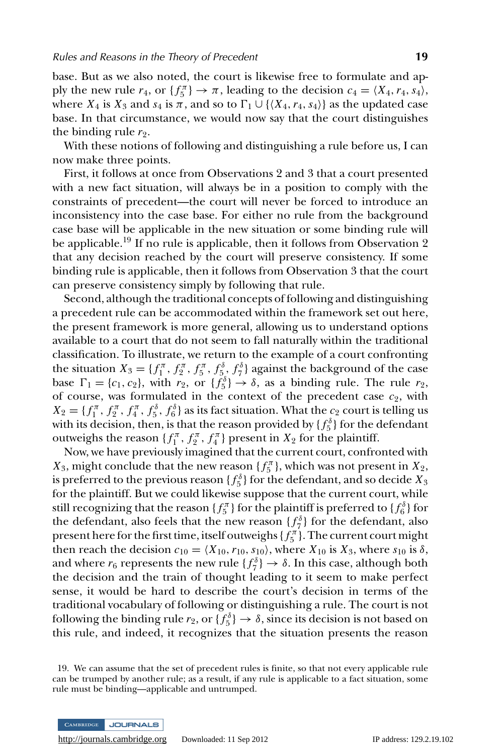base. But as we also noted, the court is likewise free to formulate and apply the new rule  $r_4$ , or  $\{f_5^{\pi}\}\rightarrow \pi$ , leading to the decision  $c_4 = \langle X_4, r_4, s_4 \rangle$ , where  $X_4$  is  $X_3$  and  $s_4$  is  $\pi$ , and so to  $\Gamma_1 \cup \{(X_4, r_4, s_4)\}\$  as the updated case base. In that circumstance, we would now say that the court distinguishes the binding rule  $r_2$ .

With these notions of following and distinguishing a rule before us, I can now make three points.

First, it follows at once from Observations 2 and 3 that a court presented with a new fact situation, will always be in a position to comply with the constraints of precedent—the court will never be forced to introduce an inconsistency into the case base. For either no rule from the background case base will be applicable in the new situation or some binding rule will be applicable.<sup>19</sup> If no rule is applicable, then it follows from Observation 2 that any decision reached by the court will preserve consistency. If some binding rule is applicable, then it follows from Observation 3 that the court can preserve consistency simply by following that rule.

Second, although the traditional concepts of following and distinguishing a precedent rule can be accommodated within the framework set out here, the present framework is more general, allowing us to understand options available to a court that do not seem to fall naturally within the traditional classification. To illustrate, we return to the example of a court confronting the situation  $X_3 = \{f_1^\pi, f_2^\pi, f_5^\pi, f_{5_\gamma}^\delta, f_7^\delta\}$  against the background of the case base  $\Gamma_1 = \{c_1, c_2\}$ , with  $r_2$ , or  $\{f_5^{\delta}\} \rightarrow \delta$ , as a binding rule. The rule  $r_2$ , of course, was formulated in the context of the precedent case  $c_2$ , with  $X_2 = \{f_1^\pi, f_2^\pi, f_4^\pi, f_5^\delta, f_6^\delta\}$  as its fact situation. What the *c*<sub>2</sub> court is telling us with its decision, then, is that the reason provided by  $\{f_5^{\delta}\}$  for the defendant outweighs the reason  $\{f_1^{\pi}, f_2^{\pi}, f_4^{\pi}\}$  present in  $X_2$  for the plaintiff.

Now, we have previously imagined that the current court, confronted with *X*<sub>3</sub>, might conclude that the new reason { $f_5^{\pi}$ }, which was not present in *X*<sub>2</sub>, is preferred to the previous reason  $\{f_5^{\delta}\}$  for the defendant, and so decide  $X_3$ for the plaintiff. But we could likewise suppose that the current court, while still recognizing that the reason  $\{f_5^{\pi}\}$  for the plaintiff is preferred to  $\{f_6^{\delta}\}$  for the defendant, also feels that the new reason  $\{f_7^{\delta}\}$  for the defendant, also present here for the first time, itself outweighs { $f_5^{\pi}$ }. The current court might then reach the decision  $c_{10} = \langle X_{10}, r_{10}, s_{10} \rangle$ , where  $X_{10}$  is  $X_3$ , where  $s_{10}$  is  $\delta$ , and where  $r_6$  represents the new rule  $\{f_7^{\delta}\} \rightarrow \delta$ . In this case, although both the decision and the train of thought leading to it seem to make perfect sense, it would be hard to describe the court's decision in terms of the traditional vocabulary of following or distinguishing a rule. The court is not following the binding rule  $r_2$ , or  $\{f_5^{\delta}\} \rightarrow \delta$ , since its decision is not based on this rule, and indeed, it recognizes that the situation presents the reason

<sup>19.</sup> We can assume that the set of precedent rules is finite, so that not every applicable rule can be trumped by another rule; as a result, if any rule is applicable to a fact situation, some rule must be binding—applicable and untrumped.

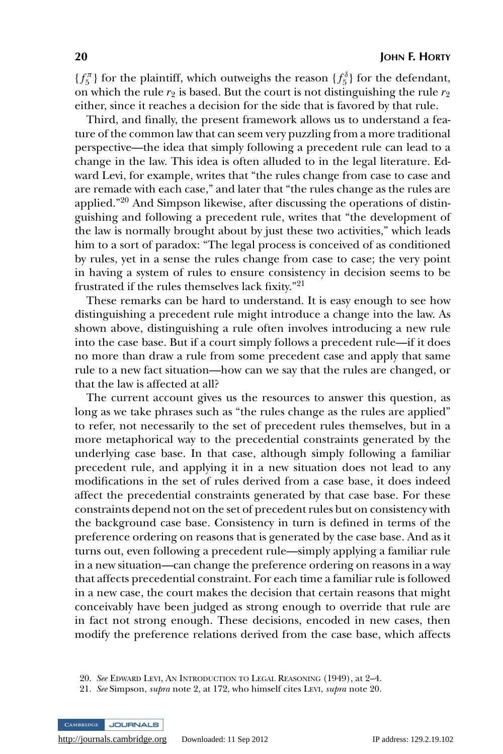${f_5^{\pi}}$  for the plaintiff, which outweighs the reason  ${f_5^{\delta}}$  for the defendant, on which the rule  $r_2$  is based. But the court is not distinguishing the rule  $r_2$ either, since it reaches a decision for the side that is favored by that rule.

Third, and finally, the present framework allows us to understand a feature of the common law that can seem very puzzling from a more traditional perspective—the idea that simply following a precedent rule can lead to a change in the law. This idea is often alluded to in the legal literature. Edward Levi, for example, writes that "the rules change from case to case and are remade with each case," and later that "the rules change as the rules are applied."<sup>20</sup> And Simpson likewise, after discussing the operations of distinguishing and following a precedent rule, writes that "the development of the law is normally brought about by just these two activities," which leads him to a sort of paradox: "The legal process is conceived of as conditioned by rules, yet in a sense the rules change from case to case; the very point in having a system of rules to ensure consistency in decision seems to be frustrated if the rules themselves lack fixity."<sup>21</sup>

These remarks can be hard to understand. It is easy enough to see how distinguishing a precedent rule might introduce a change into the law. As shown above, distinguishing a rule often involves introducing a new rule into the case base. But if a court simply follows a precedent rule—if it does no more than draw a rule from some precedent case and apply that same rule to a new fact situation—how can we say that the rules are changed, or that the law is affected at all?

The current account gives us the resources to answer this question, as long as we take phrases such as "the rules change as the rules are applied" to refer, not necessarily to the set of precedent rules themselves, but in a more metaphorical way to the precedential constraints generated by the underlying case base. In that case, although simply following a familiar precedent rule, and applying it in a new situation does not lead to any modifications in the set of rules derived from a case base, it does indeed affect the precedential constraints generated by that case base. For these constraints depend not on the set of precedent rules but on consistency with the background case base. Consistency in turn is defined in terms of the preference ordering on reasons that is generated by the case base. And as it turns out, even following a precedent rule—simply applying a familiar rule in a new situation—can change the preference ordering on reasons in a way that affects precedential constraint. For each time a familiar rule is followed in a new case, the court makes the decision that certain reasons that might conceivably have been judged as strong enough to override that rule are in fact not strong enough. These decisions, encoded in new cases, then modify the preference relations derived from the case base, which affects

<sup>20.</sup> *See* EDWARD LEVI, AN INTRODUCTION TO LEGAL REASONING (1949), at 2–4.

<sup>21.</sup> *See* Simpson, *supra* note 2, at 172, who himself cites LEVI, *supra* note 20.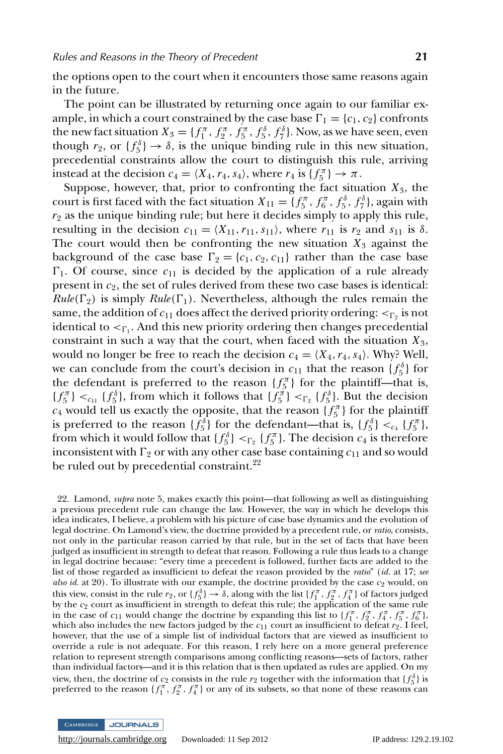the options open to the court when it encounters those same reasons again in the future.

The point can be illustrated by returning once again to our familiar example, in which a court constrained by the case base  $\Gamma_1 = \{c_1, c_2\}$  confronts the new fact situation  $X_3 = \{f_1^{\pi}, f_2^{\pi}, f_5^{\pi}, f_5^{\delta}, f_7^{\delta}\}\.$  Now, as we have seen, even though  $r_2$ , or  $\{f_5^{\delta}\} \rightarrow \delta$ , is the unique binding rule in this new situation, precedential constraints allow the court to distinguish this rule, arriving instead at the decision  $c_4 = \langle X_4, r_4, s_4 \rangle$ , where  $r_4$  is  $\{f_5^{\pi}\} \rightarrow \pi$ .

Suppose, however, that, prior to confronting the fact situation  $X_3$ , the court is first faced with the fact situation  $X_{11} = \{f_5^\pi, f_6^\pi, f_5^\delta, f_7^\delta\}$ , again with *r*<sup>2</sup> as the unique binding rule; but here it decides simply to apply this rule, resulting in the decision  $c_{11} = \langle X_{11}, r_{11}, s_{11} \rangle$ , where  $r_{11}$  is  $r_2$  and  $s_{11}$  is  $\delta$ . The court would then be confronting the new situation  $X_3$  against the background of the case base  $\Gamma_2 = \{c_1, c_2, c_{11}\}\$  rather than the case base  $\Gamma_1$ . Of course, since  $c_{11}$  is decided by the application of a rule already present in *c*2, the set of rules derived from these two case bases is identical:  $Rule(\Gamma_2)$  is simply  $Rule(\Gamma_1)$ . Nevertheless, although the rules remain the same, the addition of  $c_{11}$  does affect the derived priority ordering:  $\lt_{\Gamma_2}$  is not identical to  $\langle \zeta_{\Gamma_1}$ . And this new priority ordering then changes precedential constraint in such a way that the court, when faced with the situation  $X_3$ , would no longer be free to reach the decision  $c_4 = \langle X_4, r_4, s_4 \rangle$ . Why? Well, we can conclude from the court's decision in  $c_{11}$  that the reason  $\{f_5^{\delta}\}\$ for the defendant is preferred to the reason  $\{f_5^{\pi}\}\$  for the plaintiff—that is,  ${f_5^{\pi}} <_{c_{11}} {f_5^{\delta}}$ , from which it follows that  ${f_5^{\pi}} <_{\Gamma_2} {f_5^{\delta}}$ . But the decision *c*<sub>4</sub> would tell us exactly the opposite, that the reason  ${f_{5}^{π}}$  for the plaintiff is preferred to the reason  $\{f_5^{\delta}\}\$  for the defendant—that is,  $\{f_5^{\delta}\} <_{c_4} \{f_5^{\pi}\}\$ , from which it would follow that  ${f_5^{\delta}}$  <  ${r_2}$   ${f_5^{\pi}}$ . The decision  $c_4$  is therefore inconsistent with  $\Gamma_2$  or with any other case base containing  $c_{11}$  and so would be ruled out by precedential constraint.<sup>22</sup>

22. Lamond, *supra* note 5, makes exactly this point—that following as well as distinguishing a previous precedent rule can change the law. However, the way in which he develops this idea indicates, I believe, a problem with his picture of case base dynamics and the evolution of legal doctrine. On Lamond's view, the doctrine provided by a precedent rule, or *ratio*, consists, not only in the particular reason carried by that rule, but in the set of facts that have been judged as insufficient in strength to defeat that reason. Following a rule thus leads to a change in legal doctrine because: "every time a precedent is followed, further facts are added to the list of those regarded as insufficient to defeat the reason provided by the *ratio*" (*id.* at 17; *see also id.* at 20). To illustrate with our example, the doctrine provided by the case  $c_2$  would, on this view, consist in the rule  $r_2$ , or  $\{f_5^{\delta}\} \to \delta$ , along with the list  $\{f_1^{\pi}, f_2^{\pi}, f_4^{\pi}\}$  of factors judged by the *c*<sup>2</sup> court as insufficient in strength to defeat this rule; the application of the same rule in the case of  $c_{11}$  would change the doctrine by expanding this list to  $\{f_1^{\pi}, f_2^{\pi}, f_4^{\pi}, f_5^{\pi}, f_6^{\pi}\}$ , which also includes the new factors judged by the  $c_{11}$  court as insufficient to defeat  $r_2$ . I feel, however, that the use of a simple list of individual factors that are viewed as insufficient to override a rule is not adequate. For this reason, I rely here on a more general preference relation to represent strength comparisons among conflicting reasons—sets of factors, rather than individual factors—and it is this relation that is then updated as rules are applied. On my view, then, the doctrine of  $c_2$  consists in the rule  $r_2$  together with the information that  $\{f_5^{\delta}\}$  is preferred to the reason  $\{f_1^{\pi}, f_2^{\pi}, f_4^{\pi}\}$  or any of its subsets, so that none of these reasons can

CAMBRIDGE JOURNALS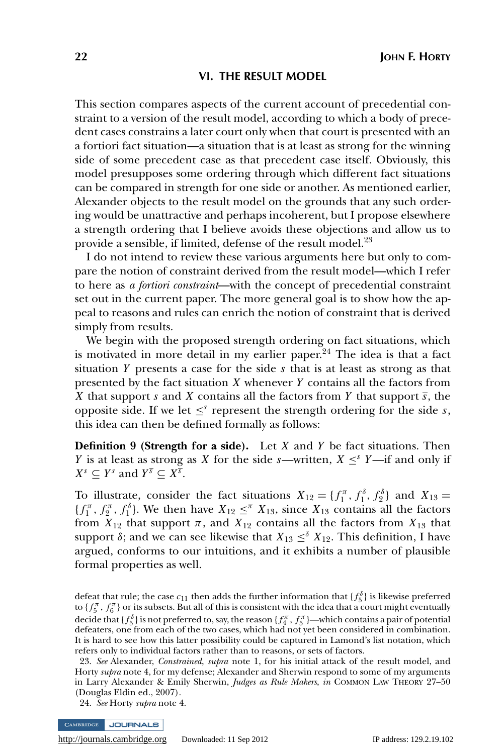# **VI. THE RESULT MODEL**

This section compares aspects of the current account of precedential constraint to a version of the result model, according to which a body of precedent cases constrains a later court only when that court is presented with an a fortiori fact situation—a situation that is at least as strong for the winning side of some precedent case as that precedent case itself. Obviously, this model presupposes some ordering through which different fact situations can be compared in strength for one side or another. As mentioned earlier, Alexander objects to the result model on the grounds that any such ordering would be unattractive and perhaps incoherent, but I propose elsewhere a strength ordering that I believe avoids these objections and allow us to provide a sensible, if limited, defense of the result model.<sup>23</sup>

I do not intend to review these various arguments here but only to compare the notion of constraint derived from the result model—which I refer to here as *a fortiori constraint*—with the concept of precedential constraint set out in the current paper. The more general goal is to show how the appeal to reasons and rules can enrich the notion of constraint that is derived simply from results.

We begin with the proposed strength ordering on fact situations, which is motivated in more detail in my earlier paper.<sup>24</sup> The idea is that a fact situation *Y* presents a case for the side *s* that is at least as strong as that presented by the fact situation *X* whenever *Y* contains all the factors from *X* that support *s* and *X* contains all the factors from *Y* that support  $\overline{s}$ , the opposite side. If we let  $\leq^s$  represent the strength ordering for the side *s*, this idea can then be defined formally as follows:

**Definition 9 (Strength for a side).** Let *X* and *Y* be fact situations. Then *Y* is at least as strong as *X* for the side *s*—written,  $X \leq^{s} Y$ —if and only if  $X^s \subset Y^s$  and  $Y^{\overline{s}} \subset X^{\overline{s}}$ .

To illustrate, consider the fact situations  $X_{12} = \{f_1^\pi, f_1^\delta, f_2^\delta\}$  and  $X_{13} =$  ${f_1^{\pi}, f_2^{\pi}, f_1^{\delta}}$ . We then have  $X_{12} \leq^{\pi} X_{13}$ , since  $X_{13}$  contains all the factors from  $X_{12}$  that support  $\pi$ , and  $X_{12}$  contains all the factors from  $X_{13}$  that support  $\delta$ ; and we can see likewise that  $X_{13} \leq \delta X_{12}$ . This definition, I have argued, conforms to our intuitions, and it exhibits a number of plausible formal properties as well.

defeat that rule; the case  $c_{11}$  then adds the further information that  $\{f_5^{\delta}\}$  is likewise preferred to  $\{f_5^\pi, f_6^\pi\}$  or its subsets. But all of this is consistent with the idea that a court might eventually decide that  $\{f_5^{\delta}\}$  is not preferred to, say, the reason  $\{f_4^\pi, f_5^\pi\}$ —which contains a pair of potential defeaters, one from each of the two cases, which had not yet been considered in combination. It is hard to see how this latter possibility could be captured in Lamond's list notation, which refers only to individual factors rather than to reasons, or sets of factors.

23. *See* Alexander, *Constrained*, *supra* note 1, for his initial attack of the result model, and Horty *supra* note 4, for my defense; Alexander and Sherwin respond to some of my arguments in Larry Alexander & Emily Sherwin, *Judges as Rule Makers*, *in* COMMON LAW THEORY 27–50 (Douglas Eldin ed., 2007).

24. *See* Horty *supra* note 4.

#### CAMBRIDGE JOURNALS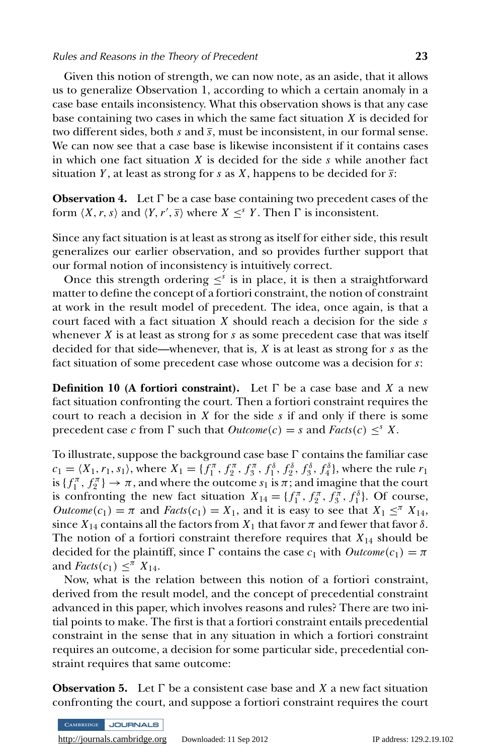Given this notion of strength, we can now note, as an aside, that it allows us to generalize Observation 1, according to which a certain anomaly in a case base entails inconsistency. What this observation shows is that any case base containing two cases in which the same fact situation *X* is decided for two different sides, both *s* and  $\bar{s}$ , must be inconsistent, in our formal sense. We can now see that a case base is likewise inconsistent if it contains cases in which one fact situation *X* is decided for the side *s* while another fact situation *Y*, at least as strong for *s* as *X*, happens to be decided for  $\overline{s}$ :

**Observation 4.** Let  $\Gamma$  be a case base containing two precedent cases of the form  $\langle X, r, s \rangle$  and  $\langle Y, r', \overline{s} \rangle$  where  $X \leq^{s} Y$ . Then  $\Gamma$  is inconsistent.

Since any fact situation is at least as strong as itself for either side, this result generalizes our earlier observation, and so provides further support that our formal notion of inconsistency is intuitively correct.

Once this strength ordering  $\leq^s$  is in place, it is then a straightforward matter to define the concept of a fortiori constraint, the notion of constraint at work in the result model of precedent. The idea, once again, is that a court faced with a fact situation *X* should reach a decision for the side *s* whenever *X* is at least as strong for *s* as some precedent case that was itself decided for that side—whenever, that is, *X* is at least as strong for *s* as the fact situation of some precedent case whose outcome was a decision for *s*:

**Definition 10 (A fortiori constraint).** Let  $\Gamma$  be a case base and *X* a new fact situation confronting the court. Then a fortiori constraint requires the court to reach a decision in *X* for the side *s* if and only if there is some precedent case *c* from  $\Gamma$  such that  $\text{Outcome}(c) = s$  and  $\text{Facts}(c) \leq^s X$ .

To illustrate, suppose the background case base  $\Gamma$  contains the familiar case  $c_1 = \langle X_1, r_1, s_1 \rangle$ , where  $X_1 = \{f_1^{\pi}, f_2^{\pi}, f_3^{\pi}, f_1^{\delta}, f_2^{\delta}, f_3^{\delta}, f_4^{\delta}\}\$ , where the rule  $r_1$ is  $\{f_1^\pi, f_2^\pi\} \to \pi$ , and where the outcome  $s_1$  is  $\pi$ ; and imagine that the court is confronting the new fact situation  $X_{14} = \{f_1^{\pi}, f_2^{\pi}, f_3^{\pi}, f_1^{\delta}\}\$ . Of course, *Outcome*( $c_1$ ) =  $\pi$  and *Facts*( $c_1$ ) =  $X_1$ , and it is easy to see that  $X_1 \leq^{\pi} X_{14}$ , since  $X_{14}$  contains all the factors from  $X_1$  that favor  $\pi$  and fewer that favor  $\delta$ . The notion of a fortiori constraint therefore requires that  $X_{14}$  should be decided for the plaintiff, since  $\Gamma$  contains the case  $c_1$  with  $\text{Outcome}(c_1) = \pi$ and  $Facts(c_1) <^{\pi} X_{14}$ .

Now, what is the relation between this notion of a fortiori constraint, derived from the result model, and the concept of precedential constraint advanced in this paper, which involves reasons and rules? There are two initial points to make. The first is that a fortiori constraint entails precedential constraint in the sense that in any situation in which a fortiori constraint requires an outcome, a decision for some particular side, precedential constraint requires that same outcome:

**Observation 5.** Let  $\Gamma$  be a consistent case base and *X* a new fact situation confronting the court, and suppose a fortiori constraint requires the court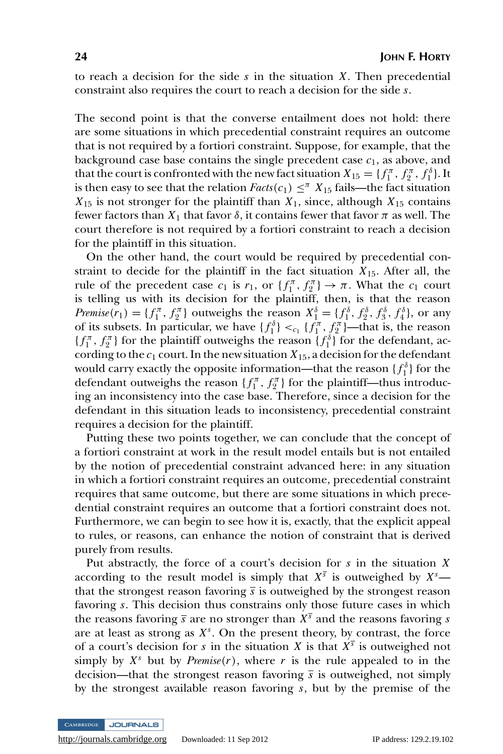to reach a decision for the side *s* in the situation *X*. Then precedential constraint also requires the court to reach a decision for the side *s*.

The second point is that the converse entailment does not hold: there are some situations in which precedential constraint requires an outcome that is not required by a fortiori constraint. Suppose, for example, that the background case base contains the single precedent case  $c_1$ , as above, and that the court is confronted with the new fact situation  $X_{15} = \{f_1^{\pi}, f_2^{\pi}, f_1^{\delta}\}$ . It is then easy to see that the relation  $Facts(c_1) \leq^{\pi} X_{15}$  fails—the fact situation  $X_{15}$  is not stronger for the plaintiff than  $X_1$ , since, although  $X_{15}$  contains fewer factors than *X*<sup>1</sup> that favor *δ*, it contains fewer that favor *π* as well. The court therefore is not required by a fortiori constraint to reach a decision for the plaintiff in this situation.

On the other hand, the court would be required by precedential constraint to decide for the plaintiff in the fact situation  $X_{15}$ . After all, the rule of the precedent case  $c_1$  is  $r_1$ , or  $\{f_1^{\pi}, f_2^{\pi}\} \rightarrow \pi$ . What the  $c_1$  court is telling us with its decision for the plaintiff, then, is that the reason *Premise*( $r_1$ ) = { $f_1^{\pi}$ ,  $f_2^{\pi}$ } outweighs the reason  $X_1^{\delta} = \{f_1^{\delta}, f_2^{\delta}, f_3^{\delta}, f_4^{\delta}\}$ , or any of its subsets. In particular, we have  $\{f_1^{\delta}\}\leq_{c_1} \{f_1^{\pi}, f_2^{\pi}\}\$ —that is, the reason  ${f_1^{\pi}, f_2^{\pi}}$  for the plaintiff outweighs the reason  ${f_1^{\delta}}$  for the defendant, according to the  $c_1$  court. In the new situation  $X_{15}$ , a decision for the defendant would carry exactly the opposite information—that the reason  $\{f_1^{\delta}\}$  for the defendant outweighs the reason  $\{f_1^{\pi}, f_2^{\pi}\}\$  for the plaintiff—thus introducing an inconsistency into the case base. Therefore, since a decision for the defendant in this situation leads to inconsistency, precedential constraint requires a decision for the plaintiff.

Putting these two points together, we can conclude that the concept of a fortiori constraint at work in the result model entails but is not entailed by the notion of precedential constraint advanced here: in any situation in which a fortiori constraint requires an outcome, precedential constraint requires that same outcome, but there are some situations in which precedential constraint requires an outcome that a fortiori constraint does not. Furthermore, we can begin to see how it is, exactly, that the explicit appeal to rules, or reasons, can enhance the notion of constraint that is derived purely from results.

Put abstractly, the force of a court's decision for *s* in the situation *X* according to the result model is simply that  $X^{\overline{s}}$  is outweighed by  $X^s$  that the strongest reason favoring  $\bar{s}$  is outweighed by the strongest reason favoring *s*. This decision thus constrains only those future cases in which the reasons favoring  $\bar{s}$  are no stronger than  $X^{\bar{s}}$  and the reasons favoring *s* are at least as strong as *X<sup>s</sup>*. On the present theory, by contrast, the force of a court's decision for *s* in the situation *X* is that  $X^{\overline{s}}$  is outweighed not simply by  $X^s$  but by *Premise*(*r*), where *r* is the rule appealed to in the decision—that the strongest reason favoring  $\bar{s}$  is outweighed, not simply by the strongest available reason favoring *s*, but by the premise of the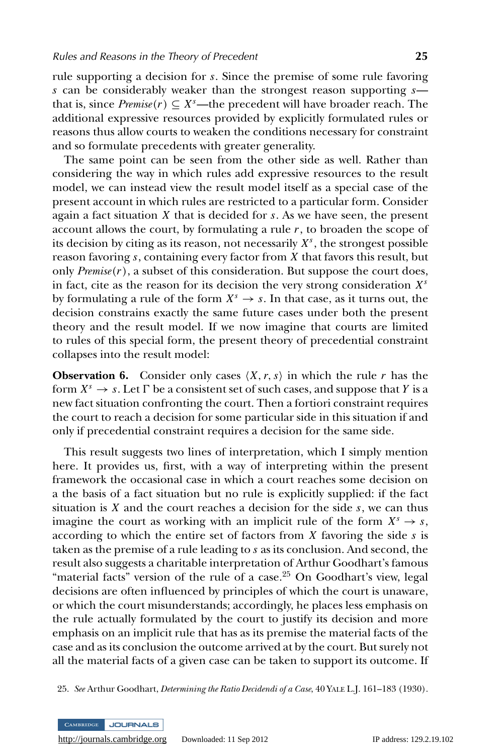rule supporting a decision for *s*. Since the premise of some rule favoring *s* can be considerably weaker than the strongest reason supporting *s* that is, since *Premise*( $r$ )  $\subseteq$   $X$ <sup>*s*</sup>—the precedent will have broader reach. The additional expressive resources provided by explicitly formulated rules or reasons thus allow courts to weaken the conditions necessary for constraint and so formulate precedents with greater generality.

The same point can be seen from the other side as well. Rather than considering the way in which rules add expressive resources to the result model, we can instead view the result model itself as a special case of the present account in which rules are restricted to a particular form. Consider again a fact situation *X* that is decided for *s*. As we have seen, the present account allows the court, by formulating a rule *r*, to broaden the scope of its decision by citing as its reason, not necessarily *Xs*, the strongest possible reason favoring *s*, containing every factor from *X* that favors this result, but only  $Premise(r)$ , a subset of this consideration. But suppose the court does, in fact, cite as the reason for its decision the very strong consideration *X<sup>s</sup>* by formulating a rule of the form  $X^s \to s$ . In that case, as it turns out, the decision constrains exactly the same future cases under both the present theory and the result model. If we now imagine that courts are limited to rules of this special form, the present theory of precedential constraint collapses into the result model:

**Observation 6.** Consider only cases  $\langle X, r, s \rangle$  in which the rule *r* has the form  $X^s \to s$ . Let  $\Gamma$  be a consistent set of such cases, and suppose that *Y* is a new fact situation confronting the court. Then a fortiori constraint requires the court to reach a decision for some particular side in this situation if and only if precedential constraint requires a decision for the same side.

This result suggests two lines of interpretation, which I simply mention here. It provides us, first, with a way of interpreting within the present framework the occasional case in which a court reaches some decision on a the basis of a fact situation but no rule is explicitly supplied: if the fact situation is *X* and the court reaches a decision for the side *s*, we can thus imagine the court as working with an implicit rule of the form  $X^s \to s$ , according to which the entire set of factors from *X* favoring the side *s* is taken as the premise of a rule leading to *s* as its conclusion. And second, the result also suggests a charitable interpretation of Arthur Goodhart's famous "material facts" version of the rule of a case.<sup>25</sup> On Goodhart's view, legal decisions are often influenced by principles of which the court is unaware, or which the court misunderstands; accordingly, he places less emphasis on the rule actually formulated by the court to justify its decision and more emphasis on an implicit rule that has as its premise the material facts of the case and as its conclusion the outcome arrived at by the court. But surely not all the material facts of a given case can be taken to support its outcome. If

25. *See* Arthur Goodhart, *Determining the Ratio Decidendi of a Case*, 40 YALE L.J. 161–183 (1930).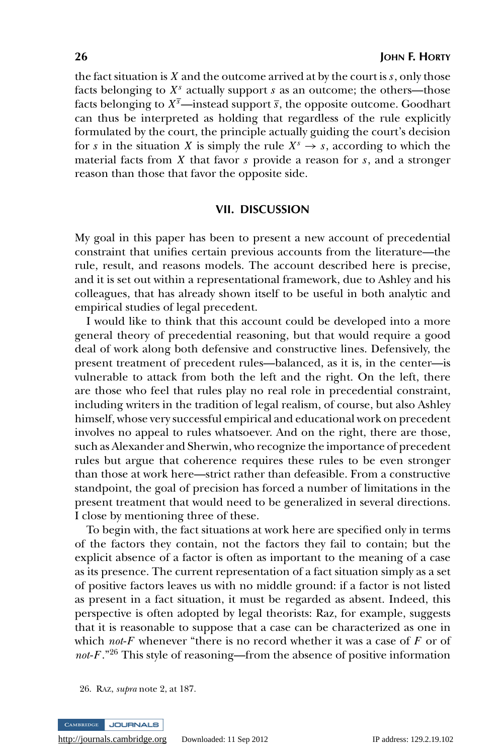the fact situation is *X* and the outcome arrived at by the court is *s*, only those facts belonging to *X<sup>s</sup>* actually support *s* as an outcome; the others—those facts belonging to  $X^{\overline{s}}$ —instead support  $\overline{s}$ , the opposite outcome. Goodhart can thus be interpreted as holding that regardless of the rule explicitly formulated by the court, the principle actually guiding the court's decision for *s* in the situation *X* is simply the rule  $X^s \rightarrow s$ , according to which the material facts from *X* that favor *s* provide a reason for *s*, and a stronger reason than those that favor the opposite side.

# **VII. DISCUSSION**

My goal in this paper has been to present a new account of precedential constraint that unifies certain previous accounts from the literature—the rule, result, and reasons models. The account described here is precise, and it is set out within a representational framework, due to Ashley and his colleagues, that has already shown itself to be useful in both analytic and empirical studies of legal precedent.

I would like to think that this account could be developed into a more general theory of precedential reasoning, but that would require a good deal of work along both defensive and constructive lines. Defensively, the present treatment of precedent rules—balanced, as it is, in the center—is vulnerable to attack from both the left and the right. On the left, there are those who feel that rules play no real role in precedential constraint, including writers in the tradition of legal realism, of course, but also Ashley himself, whose very successful empirical and educational work on precedent involves no appeal to rules whatsoever. And on the right, there are those, such as Alexander and Sherwin, who recognize the importance of precedent rules but argue that coherence requires these rules to be even stronger than those at work here—strict rather than defeasible. From a constructive standpoint, the goal of precision has forced a number of limitations in the present treatment that would need to be generalized in several directions. I close by mentioning three of these.

To begin with, the fact situations at work here are specified only in terms of the factors they contain, not the factors they fail to contain; but the explicit absence of a factor is often as important to the meaning of a case as its presence. The current representation of a fact situation simply as a set of positive factors leaves us with no middle ground: if a factor is not listed as present in a fact situation, it must be regarded as absent. Indeed, this perspective is often adopted by legal theorists: Raz, for example, suggests that it is reasonable to suppose that a case can be characterized as one in which *not*-*F* whenever "there is no record whether it was a case of *F* or of *not*-*F*."<sup>26</sup> This style of reasoning—from the absence of positive information

26. RAZ, *supra* note 2, at 187.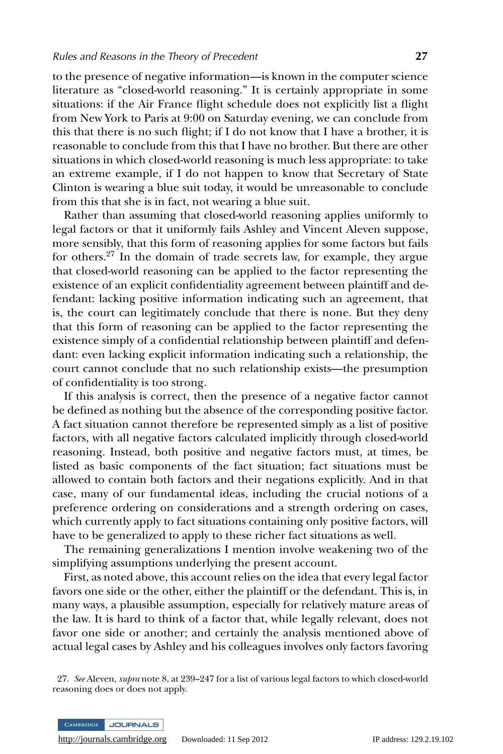to the presence of negative information—is known in the computer science literature as "closed-world reasoning." It is certainly appropriate in some situations: if the Air France flight schedule does not explicitly list a flight from New York to Paris at 9:00 on Saturday evening, we can conclude from this that there is no such flight; if I do not know that I have a brother, it is reasonable to conclude from this that I have no brother. But there are other situations in which closed-world reasoning is much less appropriate: to take an extreme example, if I do not happen to know that Secretary of State Clinton is wearing a blue suit today, it would be unreasonable to conclude from this that she is in fact, not wearing a blue suit.

Rather than assuming that closed-world reasoning applies uniformly to legal factors or that it uniformly fails Ashley and Vincent Aleven suppose, more sensibly, that this form of reasoning applies for some factors but fails for others.<sup>27</sup> In the domain of trade secrets law, for example, they argue that closed-world reasoning can be applied to the factor representing the existence of an explicit confidentiality agreement between plaintiff and defendant: lacking positive information indicating such an agreement, that is, the court can legitimately conclude that there is none. But they deny that this form of reasoning can be applied to the factor representing the existence simply of a confidential relationship between plaintiff and defendant: even lacking explicit information indicating such a relationship, the court cannot conclude that no such relationship exists—the presumption of confidentiality is too strong.

If this analysis is correct, then the presence of a negative factor cannot be defined as nothing but the absence of the corresponding positive factor. A fact situation cannot therefore be represented simply as a list of positive factors, with all negative factors calculated implicitly through closed-world reasoning. Instead, both positive and negative factors must, at times, be listed as basic components of the fact situation; fact situations must be allowed to contain both factors and their negations explicitly. And in that case, many of our fundamental ideas, including the crucial notions of a preference ordering on considerations and a strength ordering on cases, which currently apply to fact situations containing only positive factors, will have to be generalized to apply to these richer fact situations as well.

The remaining generalizations I mention involve weakening two of the simplifying assumptions underlying the present account.

First, as noted above, this account relies on the idea that every legal factor favors one side or the other, either the plaintiff or the defendant. This is, in many ways, a plausible assumption, especially for relatively mature areas of the law. It is hard to think of a factor that, while legally relevant, does not favor one side or another; and certainly the analysis mentioned above of actual legal cases by Ashley and his colleagues involves only factors favoring

27. *See* Aleven, *supra* note 8, at 239–247 for a list of various legal factors to which closed-world reasoning does or does not apply.

CAMBRIDGE JOURNALS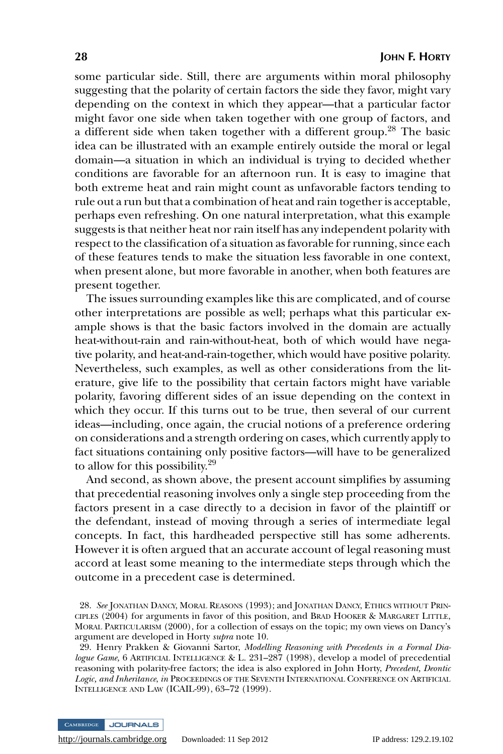some particular side. Still, there are arguments within moral philosophy suggesting that the polarity of certain factors the side they favor, might vary depending on the context in which they appear—that a particular factor might favor one side when taken together with one group of factors, and a different side when taken together with a different group.<sup>28</sup> The basic idea can be illustrated with an example entirely outside the moral or legal domain—a situation in which an individual is trying to decided whether conditions are favorable for an afternoon run. It is easy to imagine that both extreme heat and rain might count as unfavorable factors tending to rule out a run but that a combination of heat and rain together is acceptable, perhaps even refreshing. On one natural interpretation, what this example suggests is that neither heat nor rain itself has any independent polarity with respect to the classification of a situation as favorable for running, since each of these features tends to make the situation less favorable in one context, when present alone, but more favorable in another, when both features are present together.

The issues surrounding examples like this are complicated, and of course other interpretations are possible as well; perhaps what this particular example shows is that the basic factors involved in the domain are actually heat-without-rain and rain-without-heat, both of which would have negative polarity, and heat-and-rain-together, which would have positive polarity. Nevertheless, such examples, as well as other considerations from the literature, give life to the possibility that certain factors might have variable polarity, favoring different sides of an issue depending on the context in which they occur. If this turns out to be true, then several of our current ideas—including, once again, the crucial notions of a preference ordering on considerations and a strength ordering on cases, which currently apply to fact situations containing only positive factors—will have to be generalized to allow for this possibility.<sup>29</sup>

And second, as shown above, the present account simplifies by assuming that precedential reasoning involves only a single step proceeding from the factors present in a case directly to a decision in favor of the plaintiff or the defendant, instead of moving through a series of intermediate legal concepts. In fact, this hardheaded perspective still has some adherents. However it is often argued that an accurate account of legal reasoning must accord at least some meaning to the intermediate steps through which the outcome in a precedent case is determined.

28. *See* JONATHAN DANCY, MORAL REASONS (1993); and JONATHAN DANCY, ETHICS WITHOUT PRIN-CIPLES (2004) for arguments in favor of this position, and BRAD HOOKER & MARGARET LITTLE, MORAL PARTICULARISM (2000), for a collection of essays on the topic; my own views on Dancy's argument are developed in Horty *supra* note 10.

29. Henry Prakken & Giovanni Sartor, *Modelling Reasoning with Precedents in a Formal Dialogue Game,* 6 ARTIFICIAL INTELLIGENCE & L. 231–287 (1998), develop a model of precedential reasoning with polarity-free factors; the idea is also explored in John Horty, *Precedent, Deontic Logic, and Inheritance*, *in* PROCEEDINGS OF THE SEVENTH INTERNATIONAL CONFERENCE ON ARTIFICIAL INTELLIGENCE AND LAW (ICAIL-99), 63–72 (1999).

CAMBRIDGE JOURNALS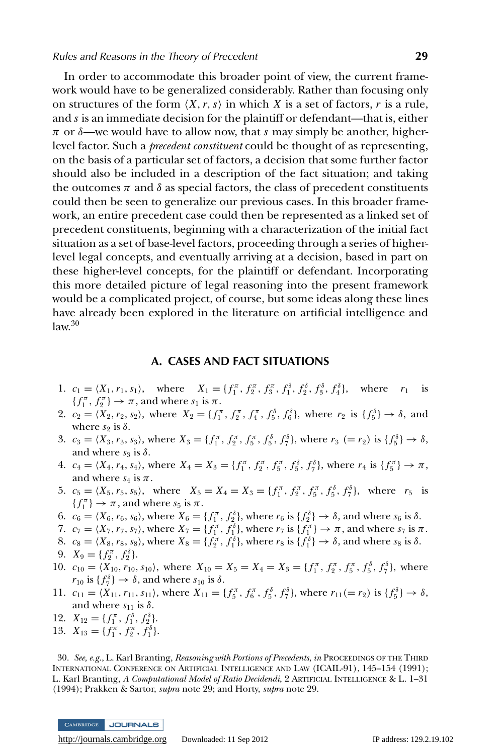In order to accommodate this broader point of view, the current framework would have to be generalized considerably. Rather than focusing only on structures of the form  $\langle X, r, s \rangle$  in which *X* is a set of factors, *r* is a rule, and *s* is an immediate decision for the plaintiff or defendant—that is, either *π* or *δ*—we would have to allow now, that *s* may simply be another, higherlevel factor. Such a *precedent constituent* could be thought of as representing, on the basis of a particular set of factors, a decision that some further factor should also be included in a description of the fact situation; and taking the outcomes  $\pi$  and  $\delta$  as special factors, the class of precedent constituents could then be seen to generalize our previous cases. In this broader framework, an entire precedent case could then be represented as a linked set of precedent constituents, beginning with a characterization of the initial fact situation as a set of base-level factors, proceeding through a series of higherlevel legal concepts, and eventually arriving at a decision, based in part on these higher-level concepts, for the plaintiff or defendant. Incorporating this more detailed picture of legal reasoning into the present framework would be a complicated project, of course, but some ideas along these lines have already been explored in the literature on artificial intelligence and  $law.<sup>30</sup>$ 

# **A. CASES AND FACT SITUATIONS**

- 1.  $c_1 = \langle X_1, r_1, s_1 \rangle$ , where  $X_1 = \{f_1^{\pi}, f_2^{\pi}, f_3^{\pi}, f_1^{\delta}, f_2^{\delta}, f_3^{\delta}, f_4^{\delta}\}$ , where  $r_1$  is  ${f_1^{\pi}, f_2^{\pi}} \rightarrow \pi$ , and where  $s_1$  is  $\pi$ .
- 2.  $c_2 = \langle X_2, r_2, s_2 \rangle$ , where  $X_2 = \{f_1^{\pi}, f_2^{\pi}, f_3^{\pi}, f_5^{\delta}, f_6^{\delta}\}\$ , where  $r_2$  is  $\{f_5^{\delta}\} \to \delta$ , and where  $s_2$  is  $\delta$ .
- 3.  $c_3 = \langle X_3, r_3, s_3 \rangle$ , where  $X_3 = \{f_1^{\pi}, f_2^{\pi}, f_5^{\pi}, f_5^{\delta}, f_7^{\delta} \}$ , where  $r_3 (= r_2)$  is  $\{f_5^{\delta}\} \rightarrow \delta$ , and where  $s_3$  is  $\delta$ .
- 4.  $c_4 = \langle X_4, r_4, s_4 \rangle$ , where  $X_4 = X_3 = \{f_1^{\pi}, f_2^{\pi}, f_5^{\pi}, f_5^{\delta}, f_5^{\delta}\}\$ , where  $r_4$  is  $\{f_5^{\pi}\} \to \pi$ , and where  $s_4$  is  $\pi$ .
- 5.  $c_5 = \langle X_5, r_5, s_5 \rangle$ , where  $X_5 = X_4 = X_3 = \{ f_1^{\pi}, f_2^{\pi}, f_5^{\pi}, f_5^{\delta}, f_5^{\delta} \}$ , where  $r_5$  is  ${f_1^{\pi}} \rightarrow \pi$ , and where  $s_5$  is  $\pi$ .
- 6.  $c_6 = \langle X_6, r_6, s_6 \rangle$ , where  $X_6 = \{ f_1^{\pi}, f_2^{\delta} \}$ , where  $r_6$  is  $\{ f_2^{\delta} \} \to \delta$ , and where  $s_6$  is  $\delta$ .
- 7.  $c_7 = \langle X_7, r_7, s_7 \rangle$ , where  $X_7 = \{ f_1^{\pi}, f_1^{\delta} \}$ , where  $r_7$  is  $\{ f_1^{\pi} \} \to \pi$ , and where  $s_7$  is  $\pi$ .
- 8.  $c_8 = \langle X_8, r_8, s_8 \rangle$ , where  $X_8 = \{ f_2^{\pi}, f_1^{\delta} \}$ , where  $r_8$  is  $\{ f_1^{\delta} \} \to \delta$ , and where  $s_8$  is  $\delta$ .
- 9.  $X_9 = \{f_2^{\pi}, f_2^{\delta}\}.$
- 10.  $c_{10} = \langle X_{10}, r_{10}, s_{10} \rangle$ , where  $X_{10} = X_5 = X_4 = X_3 = \{f_1^{\pi}, f_2^{\pi}, f_5^{\pi}, f_5^{\delta}, f_7^{\delta}\}\$ , where  $r_{10}$  is  $\{f_7^{\delta}\} \rightarrow \delta$ , and where  $s_{10}$  is  $\delta$ .
- 11.  $c_{11} = \langle X_{11}, r_{11}, s_{11} \rangle$ , where  $X_{11} = \{f_5^{\pi}, f_6^{\pi}, f_5^{\delta}, f_7^{\delta}\}\$ , where  $r_{11} (= r_2)$  is  $\{f_5^{\delta}\} \rightarrow \delta$ , and where  $s_{11}$  is  $\delta$ .
- 12.  $X_{12} = \{f_1^{\pi}, f_1^{\delta}, f_2^{\delta}\}.$
- 13.  $X_{13} = \{f_1^{\pi}, f_2^{\pi}, f_1^{\delta}\}.$

30. *See, e.g.*, L. Karl Branting, *Reasoning with Portions of Precedents*, *in* PROCEEDINGS OF THE THIRD INTERNATIONAL CONFERENCE ON ARTIFICIAL INTELLIGENCE AND LAW (ICAIL-91), 145–154 (1991); L. Karl Branting, *A Computational Model of Ratio Decidendi*,2ARTIFICIAL INTELLIGENCE & L. 1–31 (1994); Prakken & Sartor, *supra* note 29; and Horty, *supra* note 29.

CAMBRIDGE JOURNALS

<http://journals.cambridge.org> Downloaded: 11 Sep 2012 IP address: 129.2.19.102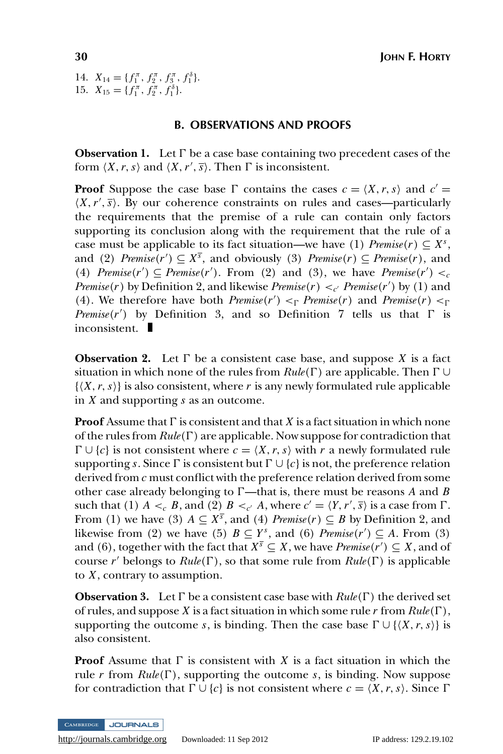14.  $X_{14} = \{f_1^{\pi}, f_2^{\pi}, f_3^{\pi}, f_1^{\delta}\}.$ 15.  $X_{15} = \{f_1^{\pi}, f_2^{\pi}, f_1^{\delta}\}.$ 

# **B. OBSERVATIONS AND PROOFS**

**Observation 1.** Let  $\Gamma$  be a case base containing two precedent cases of the form  $\langle X, r, s \rangle$  and  $\langle X, r', \overline{s} \rangle$ . Then  $\Gamma$  is inconsistent.

**Proof** Suppose the case base  $\Gamma$  contains the cases  $c = \langle X, r, s \rangle$  and  $c' = \mathbb{R}$  $(X, r', \bar{s})$ . By our coherence constraints on rules and cases—particularly the requirements that the premise of a rule can contain only factors supporting its conclusion along with the requirement that the rule of a case must be applicable to its fact situation—we have (1)  $Premise(r) \subseteq X^s$ , and (2)  $Premise(r') \subseteq X^{\overline{s}}$ , and obviously (3)  $Premise(r) \subseteq Premise(r)$ , and (4) *Premise*( $r'$ )  $\subseteq$  *Premise*( $r'$ ). From (2) and (3), we have *Premise*( $r'$ ) < c *Premise*(*r*) by Definition 2, and likewise *Premise*(*r*)  $\lt_{c'}$  *Premise*(*r'*) by (1) and (4). We therefore have both  $Premise(r') <_{\Gamma} Premise(r)$  and  $Premise(r) <_{\Gamma}$ *Premise*( $r'$ ) by Definition 3, and so Definition 7 tells us that  $\Gamma$  is inconsistent.

**Observation 2.** Let  $\Gamma$  be a consistent case base, and suppose X is a fact situation in which none of the rules from  $Rule(\Gamma)$  are applicable. Then  $\Gamma \cup$  $\{\langle X, r, s \rangle\}$  is also consistent, where *r* is any newly formulated rule applicable in *X* and supporting *s* as an outcome.

**Proof** Assume that  $\Gamma$  is consistent and that *X* is a fact situation in which none of the rules from  $Rule(\Gamma)$  are applicable. Now suppose for contradiction that  $Γ ∪ {c}$  is not consistent where  $c = \langle X, r, s \rangle$  with  $r$  a newly formulated rule supporting *s*. Since  $\Gamma$  is consistent but  $\Gamma \cup \{c\}$  is not, the preference relation derived from *c* must conflict with the preference relation derived from some other case already belonging to  $\Gamma$ —that is, there must be reasons *A* and *B* such that (1)  $A \leq_c B$ , and (2)  $B \leq_{c'} A$ , where  $c' = \langle Y, r', \overline{s} \rangle$  is a case from  $\Gamma$ . From (1) we have (3)  $A \subseteq X^{\overline{s}}$ , and (4) *Premise*(*r*)  $\subseteq B$  by Definition 2, and likewise from (2) we have (5)  $B \subseteq Y^s$ , and (6) *Premise*(*r'*)  $\subseteq A$ . From (3) and (6), together with the fact that  $X^{\overline{s}} \subseteq X$ , we have  $\mathit{Premise}(r') \subseteq X$ , and of course *r'* belongs to  $\text{Rule}(\Gamma)$ , so that some rule from  $\text{Rule}(\Gamma)$  is applicable to *X*, contrary to assumption.

**Observation 3.** Let  $\Gamma$  be a consistent case base with  $Rule(\Gamma)$  the derived set of rules, and suppose *X* is a fact situation in which some rule *r* from  $Rule(\Gamma)$ , supporting the outcome *s*, is binding. Then the case base  $\Gamma \cup \{ \langle X, r, s \rangle \}$  is also consistent.

**Proof** Assume that  $\Gamma$  is consistent with *X* is a fact situation in which the rule *r* from  $Rule(\Gamma)$ , supporting the outcome *s*, is binding. Now suppose for contradiction that  $\Gamma \cup \{c\}$  is not consistent where  $c = \langle X, r, s \rangle$ . Since  $\Gamma$ 

CAMBRIDGE JOURNALS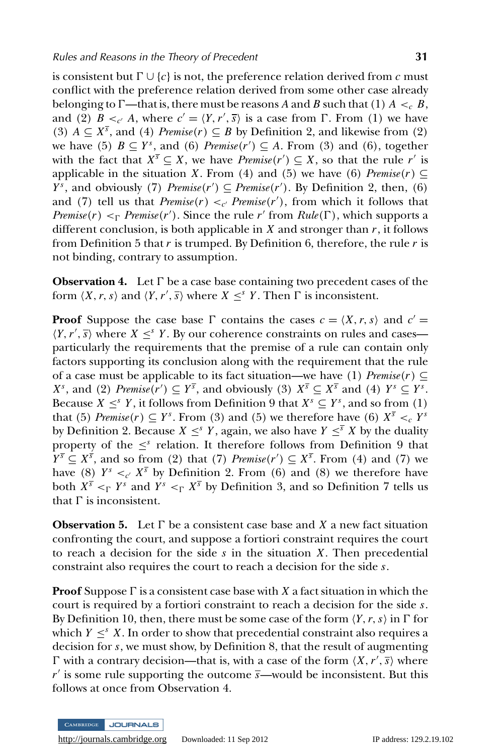is consistent but  $\Gamma \cup \{c\}$  is not, the preference relation derived from *c* must conflict with the preference relation derived from some other case already belonging to  $\Gamma$ —that is, there must be reasons *A* and *B* such that (1)  $A \leq_c B$ , and (2)  $\vec{B} \leq_{c'} \vec{A}$ , where  $c' = \langle Y, r', \bar{s} \rangle$  is a case from  $\Gamma$ . From (1) we have (3)  $A \subseteq X^{\overline{s}}$ , and (4) *Premise*( $r$ )  $\subseteq$  *B* by Definition 2, and likewise from (2) we have (5)  $B \subseteq Y^s$ , and (6) *Premise*(*r'*)  $\subseteq A$ . From (3) and (6), together with the fact that  $X^{\overline{s}} \subseteq X$ , we have  $Premise(r') \subseteq X$ , so that the rule r' is applicable in the situation *X*. From (4) and (5) we have (6) *Premise*(*r*) ⊆  $Y^s$ , and obviously (7) *Premise*(*r'*)  $\subseteq$  *Premise*(*r'*). By Definition 2, then, (6) and (7) tell us that  $Premise(r) <_{c'} Premise(r')$ , from which it follows that *Premise*( $r$ ) <  $\Gamma$  *Premise*( $r'$ ). Since the rule  $r'$  from  $Rule(\Gamma)$ , which supports a different conclusion, is both applicable in *X* and stronger than *r*, it follows from Definition 5 that *r* is trumped. By Definition 6, therefore, the rule *r* is not binding, contrary to assumption.

**Observation 4.** Let  $\Gamma$  be a case base containing two precedent cases of the form  $\langle X, r, s \rangle$  and  $\langle Y, r', \overline{s} \rangle$  where  $X \leq^{s} Y$ . Then  $\Gamma$  is inconsistent.

**Proof** Suppose the case base  $\Gamma$  contains the cases  $c = \langle X, r, s \rangle$  and  $c' =$  $\langle Y, r', \overline{s} \rangle$  where  $X \leq^s Y$ . By our coherence constraints on rules and cases particularly the requirements that the premise of a rule can contain only factors supporting its conclusion along with the requirement that the rule of a case must be applicable to its fact situation—we have (1) *Premise*( $r$ ) ⊆ *X*<sup>*s*</sup>, and (2) *Premise*( $r'$ ) ⊆  $Y^{\overline{s}}$ , and obviously (3)  $X^{\overline{s}} \subseteq X^{\overline{s}}$  and (4)  $Y^s \subseteq Y^s$ . Because *X*  $\leq^s$  *Y*, it follows from Definition 9 that  $X^s \subseteq Y^s$ , and so from (1) that (5) *Premise*(*r*)  $\subseteq Y^s$ . From (3) and (5) we therefore have (6)  $X^{\overline{s}} <_c Y^s$ by Definition 2. Because  $X \leq^{s} Y$ , again, we also have  $Y \leq^{s} X$  by the duality property of the  $\leq^s$  relation. It therefore follows from Definition 9 that  $Y^{\overline{s}} \subseteq X^{\overline{s}}$ , and so from (2) that (7) *Premise*(*r'*)  $\subseteq X^{\overline{s}}$ . From (4) and (7) we have (8)  $Y^s <_{c'} X^{\overline{s}}$  by Definition 2. From (6) and (8) we therefore have both  $X^{\overline{s}} <_{\Gamma} Y^s$  and  $Y^s <_{\Gamma} X^{\overline{s}}$  by Definition 3, and so Definition 7 tells us that  $\Gamma$  is inconsistent.

**Observation 5.** Let  $\Gamma$  be a consistent case base and X a new fact situation confronting the court, and suppose a fortiori constraint requires the court to reach a decision for the side *s* in the situation *X*. Then precedential constraint also requires the court to reach a decision for the side *s*.

**Proof** Suppose  $\Gamma$  is a consistent case base with *X* a fact situation in which the court is required by a fortiori constraint to reach a decision for the side *s*. By Definition 10, then, there must be some case of the form  $\langle Y, r, s \rangle$  in  $\Gamma$  for which  $Y \leq^{s} X$ . In order to show that precedential constraint also requires a decision for *s*, we must show, by Definition 8, that the result of augmenting  $\Gamma$  with a contrary decision—that is, with a case of the form  $\langle X, r', \overline{s} \rangle$  where *r* is some rule supporting the outcome *s*—would be inconsistent. But this follows at once from Observation 4.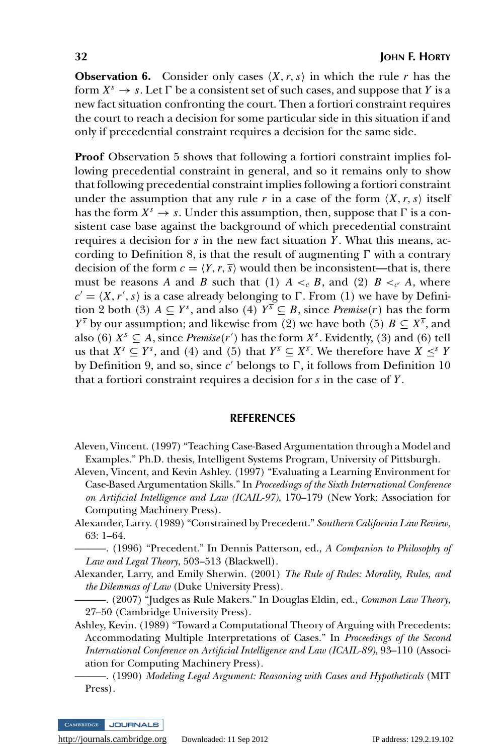**Observation 6.** Consider only cases  $\langle X, r, s \rangle$  in which the rule *r* has the form  $X^s \to s$ . Let  $\Gamma$  be a consistent set of such cases, and suppose that *Y* is a new fact situation confronting the court. Then a fortiori constraint requires the court to reach a decision for some particular side in this situation if and only if precedential constraint requires a decision for the same side.

**Proof** Observation 5 shows that following a fortiori constraint implies following precedential constraint in general, and so it remains only to show that following precedential constraint implies following a fortiori constraint under the assumption that any rule  $r$  in a case of the form  $\langle X, r, s \rangle$  itself has the form  $X^s \to s$ . Under this assumption, then, suppose that  $\Gamma$  is a consistent case base against the background of which precedential constraint requires a decision for *s* in the new fact situation *Y* . What this means, according to Definition 8, is that the result of augmenting  $\Gamma$  with a contrary decision of the form  $c = \langle Y, r, \overline{s} \rangle$  would then be inconsistent—that is, there must be reasons *A* and *B* such that (1)  $A \lt_c B$ , and (2)  $B \lt_{c'} A$ , where  $c' = \langle X, r', s \rangle$  is a case already belonging to  $\Gamma$ . From (1) we have by Definition 2 both (3)  $A \subseteq Y^s$ , and also (4)  $\overline{Y^s} \subseteq B$ , since *Premise*(*r*) has the form *Y*<sup>*s*</sup> by our assumption; and likewise from (2) we have both (5) *B*  $\subseteq X^{\overline{s}}$ , and also (6)  $X^s \subseteq A$ , since *Premise*(*r'*) has the form  $X^s$ . Evidently, (3) and (6) tell us that  $X^s \subseteq Y^s$ , and (4) and (5) that  $Y^{\overline{s}} \subseteq X^{\overline{s}}$ . We therefore have  $X \leq^s Y$ by Definition 9, and so, since  $c'$  belongs to  $\Gamma$ , it follows from Definition 10 that a fortiori constraint requires a decision for *s* in the case of *Y* .

# **REFERENCES**

- Aleven, Vincent. (1997) "Teaching Case-Based Argumentation through a Model and Examples." Ph.D. thesis, Intelligent Systems Program, University of Pittsburgh.
- Aleven, Vincent, and Kevin Ashley. (1997) "Evaluating a Learning Environment for Case-Based Argumentation Skills." In *Proceedings of the Sixth International Conference on Artificial Intelligence and Law (ICAIL-97)*, 170–179 (New York: Association for Computing Machinery Press).
- Alexander, Larry. (1989) "Constrained by Precedent." *Southern California Law Review*, 63: 1–64.
	- ———. (1996) "Precedent." In Dennis Patterson, ed., *A Companion to Philosophy of Law and Legal Theory*, 503–513 (Blackwell).
- Alexander, Larry, and Emily Sherwin. (2001) *The Rule of Rules: Morality, Rules, and the Dilemmas of Law* (Duke University Press).
- ———. (2007) "Judges as Rule Makers." In Douglas Eldin, ed., *Common Law Theory*, 27–50 (Cambridge University Press).

Ashley, Kevin. (1989) "Toward a Computational Theory of Arguing with Precedents: Accommodating Multiple Interpretations of Cases." In *Proceedings of the Second International Conference on Artificial Intelligence and Law (ICAIL-89)*, 93–110 (Association for Computing Machinery Press).

———. (1990) *Modeling Legal Argument: Reasoning with Cases and Hypotheticals* (MIT Press).